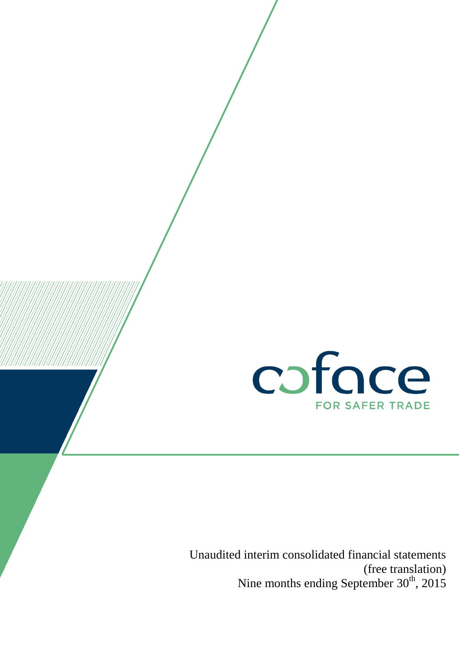

Unaudited interim consolidated financial statements (free translation) Nine months ending September 30<sup>th</sup>, 2015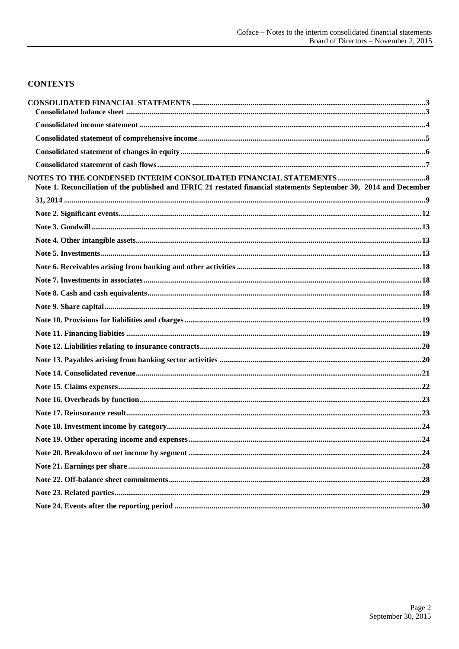### **CONTENTS**

| Note 1. Reconciliation of the published and IFRIC 21 restated financial statements September 30, 2014 and December |
|--------------------------------------------------------------------------------------------------------------------|
|                                                                                                                    |
|                                                                                                                    |
|                                                                                                                    |
|                                                                                                                    |
|                                                                                                                    |
|                                                                                                                    |
|                                                                                                                    |
|                                                                                                                    |
|                                                                                                                    |
|                                                                                                                    |
|                                                                                                                    |
|                                                                                                                    |
|                                                                                                                    |
|                                                                                                                    |
|                                                                                                                    |
|                                                                                                                    |
|                                                                                                                    |
|                                                                                                                    |
|                                                                                                                    |
|                                                                                                                    |
|                                                                                                                    |
|                                                                                                                    |
|                                                                                                                    |
|                                                                                                                    |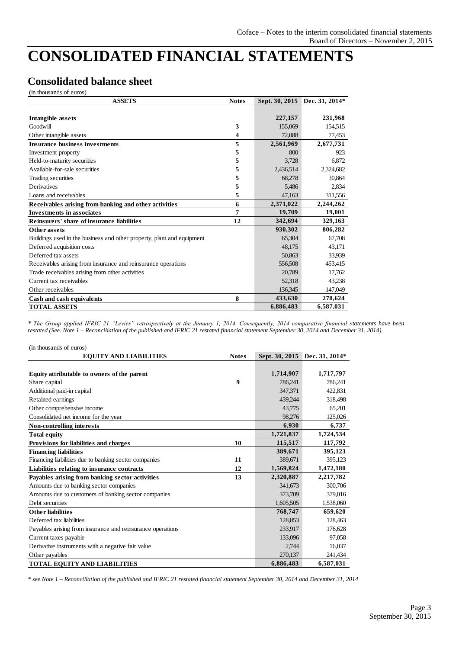# <span id="page-2-0"></span>**CONSOLIDATED FINANCIAL STATEMENTS**

### <span id="page-2-1"></span>**Consolidated balance sheet**

(in thousands of euros)

| <b>ASSETS</b>                                                          | <b>Notes</b> |           | Sept. 30, 2015 Dec. 31, 2014* |
|------------------------------------------------------------------------|--------------|-----------|-------------------------------|
|                                                                        |              |           |                               |
| Intangible assets                                                      |              | 227,157   | 231,968                       |
| Goodwill                                                               | 3            | 155,069   | 154,515                       |
| Other intangible assets                                                | 4            | 72,088    | 77,453                        |
| <b>Insurance business investments</b>                                  | 5            | 2,561,969 | 2,677,731                     |
| Investment property                                                    | 5            | 800       | 923                           |
| Held-to-maturity securities                                            | 5            | 3,728     | 6.872                         |
| Available-for-sale securities                                          | 5            | 2,436,514 | 2,324,682                     |
| Trading securities                                                     | 5            | 68,278    | 30.864                        |
| <b>Derivatives</b>                                                     | 5            | 5,486     | 2,834                         |
| Loans and receivables                                                  | 5            | 47,163    | 311,556                       |
| Receivables arising from banking and other activities                  | 6            | 2,371,022 | 2,244,262                     |
| <b>Investments in associates</b>                                       | 7            | 19,709    | 19,001                        |
| Reinsurers' share of insurance liabilities                             | 12           | 342,694   | 329,163                       |
| Other assets                                                           |              | 930,302   | 806,282                       |
| Buildings used in the business and other property, plant and equipment |              | 65,304    | 67,708                        |
| Deferred acquisition costs                                             |              | 48,175    | 43,171                        |
| Deferred tax assets                                                    |              | 50,863    | 33.939                        |
| Receivables arising from insurance and reinsurance operations          |              | 556,508   | 453,415                       |
| Trade receivables arising from other activities                        |              | 20,789    | 17,762                        |
| Current tax receivables                                                |              | 52,318    | 43,238                        |
| Other receivables                                                      |              | 136,345   | 147,049                       |
| Cash and cash equivalents                                              | 8            | 433,630   | 278,624                       |
| <b>TOTAL ASSETS</b>                                                    |              | 6,886,483 | 6,587,031                     |

*\* The Group applied IFRIC 21 "Levies" retrospectively at the January 1, 2014. Consequently, 2014 comparative financial statements have been restated (See. Note 1 – Reconciliation of the published and IFRIC 21 restated financial statement September 30, 2014 and December 31, 2014).*

| (in thousands of euros)                                    |              |           |                               |
|------------------------------------------------------------|--------------|-----------|-------------------------------|
| <b>EQUITY AND LIABILITIES</b>                              | <b>Notes</b> |           | Sept. 30, 2015 Dec. 31, 2014* |
|                                                            |              |           |                               |
| Equity attributable to owners of the parent                |              | 1,714,907 | 1,717,797                     |
| Share capital                                              | 9            | 786,241   | 786,241                       |
| Additional paid-in capital                                 |              | 347,371   | 422,831                       |
| Retained earnings                                          |              | 439,244   | 318,498                       |
| Other comprehensive income                                 |              | 43,775    | 65,201                        |
| Consolidated net income for the year                       |              | 98,276    | 125,026                       |
| <b>Non-controlling interests</b>                           |              | 6,930     | 6,737                         |
| <b>Total equity</b>                                        |              | 1,721,837 | 1,724,534                     |
| Provisions for liabilities and charges                     | 10           | 115,517   | 117,792                       |
| <b>Financing liabilities</b>                               |              | 389,671   | 395,123                       |
| Financing liabilities due to banking sector companies      | 11           | 389,671   | 395,123                       |
| Liabilities relating to insurance contracts                | 12           | 1,569,824 | 1,472,180                     |
| Payables arising from banking sector activities            | 13           | 2,320,887 | 2,217,782                     |
| Amounts due to banking sector companies                    |              | 341,673   | 300,706                       |
| Amounts due to customers of banking sector companies       |              | 373,709   | 379,016                       |
| Debt securities                                            |              | 1,605,505 | 1,538,060                     |
| <b>Other liabilities</b>                                   |              | 768,747   | 659,620                       |
| Deferred tax liabilities                                   |              | 128,853   | 128,463                       |
| Payables arising from insurance and reinsurance operations |              | 233,917   | 176,628                       |
| Current taxes payable                                      |              | 133,096   | 97,058                        |
| Derivative instruments with a negative fair value          |              | 2,744     | 16,037                        |
| Other payables                                             |              | 270,137   | 241,434                       |
| TOTAL EQUITY AND LIABILITIES                               |              | 6,886,483 | 6,587,031                     |

*\* see Note 1 – Reconciliation of the published and IFRIC 21 restated financial statement September 30, 2014 and December 31, 2014*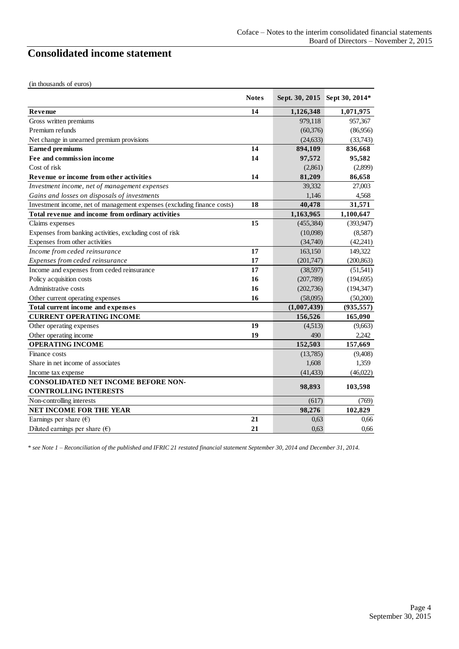## <span id="page-3-0"></span>**Consolidated income statement**

| <b>Notes</b><br>14<br>1,126,348<br>Revenue<br>Gross written premiums<br>979,118<br>Premium refunds<br>Net change in unearned premium provisions<br>14<br><b>Earned</b> premiums<br>894,109<br>Fee and commission income<br>14<br>97,572<br>Cost of risk<br>Revenue or income from other activities<br>14<br>81,209<br>Investment income, net of management expenses<br>39,332<br>Gains and losses on disposals of investments<br>1,146<br>Investment income, net of management expenses (excluding finance costs)<br>18<br>40,478<br>Total revenue and income from ordinary activities<br>1,163,965<br>15<br>Claims expenses<br>Expenses from banking activities, excluding cost of risk<br>Expenses from other activities<br>Income from ceded reinsurance<br>17<br>163.150<br>17<br>Expenses from ceded reinsurance<br>17<br>Income and expenses from ceded reinsurance<br>Policy acquisition costs<br>16<br>Administrative costs<br>16<br>16<br>Other current operating expenses<br>Total current income and expenses<br><b>CURRENT OPERATING INCOME</b><br>156,526<br>19<br>Other operating expenses<br>Other operating income<br>19<br>490<br><b>OPERATING INCOME</b><br>152,503<br>Finance costs<br>Share in net income of associates<br>1.608<br>Income tax expense<br><b>CONSOLIDATED NET INCOME BEFORE NON-</b><br>98,893<br><b>CONTROLLING INTERESTS</b><br>Non-controlling interests<br><b>NET INCOME FOR THE YEAR</b><br>98,276 | (in thousands of euros)         |    |             |                               |
|---------------------------------------------------------------------------------------------------------------------------------------------------------------------------------------------------------------------------------------------------------------------------------------------------------------------------------------------------------------------------------------------------------------------------------------------------------------------------------------------------------------------------------------------------------------------------------------------------------------------------------------------------------------------------------------------------------------------------------------------------------------------------------------------------------------------------------------------------------------------------------------------------------------------------------------------------------------------------------------------------------------------------------------------------------------------------------------------------------------------------------------------------------------------------------------------------------------------------------------------------------------------------------------------------------------------------------------------------------------------------------------------------------------------------------------------|---------------------------------|----|-------------|-------------------------------|
|                                                                                                                                                                                                                                                                                                                                                                                                                                                                                                                                                                                                                                                                                                                                                                                                                                                                                                                                                                                                                                                                                                                                                                                                                                                                                                                                                                                                                                             |                                 |    |             | Sept. 30, 2015 Sept 30, 2014* |
|                                                                                                                                                                                                                                                                                                                                                                                                                                                                                                                                                                                                                                                                                                                                                                                                                                                                                                                                                                                                                                                                                                                                                                                                                                                                                                                                                                                                                                             |                                 |    |             | 1,071,975                     |
|                                                                                                                                                                                                                                                                                                                                                                                                                                                                                                                                                                                                                                                                                                                                                                                                                                                                                                                                                                                                                                                                                                                                                                                                                                                                                                                                                                                                                                             |                                 |    |             | 957,367                       |
|                                                                                                                                                                                                                                                                                                                                                                                                                                                                                                                                                                                                                                                                                                                                                                                                                                                                                                                                                                                                                                                                                                                                                                                                                                                                                                                                                                                                                                             |                                 |    | (60, 376)   | (86,956)                      |
|                                                                                                                                                                                                                                                                                                                                                                                                                                                                                                                                                                                                                                                                                                                                                                                                                                                                                                                                                                                                                                                                                                                                                                                                                                                                                                                                                                                                                                             |                                 |    | (24.633)    | (33,743)                      |
|                                                                                                                                                                                                                                                                                                                                                                                                                                                                                                                                                                                                                                                                                                                                                                                                                                                                                                                                                                                                                                                                                                                                                                                                                                                                                                                                                                                                                                             |                                 |    |             | 836,668                       |
|                                                                                                                                                                                                                                                                                                                                                                                                                                                                                                                                                                                                                                                                                                                                                                                                                                                                                                                                                                                                                                                                                                                                                                                                                                                                                                                                                                                                                                             |                                 |    |             | 95,582                        |
|                                                                                                                                                                                                                                                                                                                                                                                                                                                                                                                                                                                                                                                                                                                                                                                                                                                                                                                                                                                                                                                                                                                                                                                                                                                                                                                                                                                                                                             |                                 |    | (2,861)     | (2,899)                       |
|                                                                                                                                                                                                                                                                                                                                                                                                                                                                                                                                                                                                                                                                                                                                                                                                                                                                                                                                                                                                                                                                                                                                                                                                                                                                                                                                                                                                                                             |                                 |    |             | 86,658                        |
|                                                                                                                                                                                                                                                                                                                                                                                                                                                                                                                                                                                                                                                                                                                                                                                                                                                                                                                                                                                                                                                                                                                                                                                                                                                                                                                                                                                                                                             |                                 |    |             | 27,003                        |
|                                                                                                                                                                                                                                                                                                                                                                                                                                                                                                                                                                                                                                                                                                                                                                                                                                                                                                                                                                                                                                                                                                                                                                                                                                                                                                                                                                                                                                             |                                 |    |             | 4,568                         |
|                                                                                                                                                                                                                                                                                                                                                                                                                                                                                                                                                                                                                                                                                                                                                                                                                                                                                                                                                                                                                                                                                                                                                                                                                                                                                                                                                                                                                                             |                                 |    |             | 31,571                        |
|                                                                                                                                                                                                                                                                                                                                                                                                                                                                                                                                                                                                                                                                                                                                                                                                                                                                                                                                                                                                                                                                                                                                                                                                                                                                                                                                                                                                                                             |                                 |    |             | 1,100,647                     |
|                                                                                                                                                                                                                                                                                                                                                                                                                                                                                                                                                                                                                                                                                                                                                                                                                                                                                                                                                                                                                                                                                                                                                                                                                                                                                                                                                                                                                                             |                                 |    | (455, 384)  | (393, 947)                    |
|                                                                                                                                                                                                                                                                                                                                                                                                                                                                                                                                                                                                                                                                                                                                                                                                                                                                                                                                                                                                                                                                                                                                                                                                                                                                                                                                                                                                                                             |                                 |    | (10,098)    | (8,587)                       |
|                                                                                                                                                                                                                                                                                                                                                                                                                                                                                                                                                                                                                                                                                                                                                                                                                                                                                                                                                                                                                                                                                                                                                                                                                                                                                                                                                                                                                                             |                                 |    | (34,740)    | (42,241)                      |
|                                                                                                                                                                                                                                                                                                                                                                                                                                                                                                                                                                                                                                                                                                                                                                                                                                                                                                                                                                                                                                                                                                                                                                                                                                                                                                                                                                                                                                             |                                 |    |             | 149,322                       |
|                                                                                                                                                                                                                                                                                                                                                                                                                                                                                                                                                                                                                                                                                                                                                                                                                                                                                                                                                                                                                                                                                                                                                                                                                                                                                                                                                                                                                                             |                                 |    | (201,747)   | (200, 863)                    |
|                                                                                                                                                                                                                                                                                                                                                                                                                                                                                                                                                                                                                                                                                                                                                                                                                                                                                                                                                                                                                                                                                                                                                                                                                                                                                                                                                                                                                                             |                                 |    | (38,597)    | (51, 541)                     |
|                                                                                                                                                                                                                                                                                                                                                                                                                                                                                                                                                                                                                                                                                                                                                                                                                                                                                                                                                                                                                                                                                                                                                                                                                                                                                                                                                                                                                                             |                                 |    | (207,789)   | (194,695)                     |
|                                                                                                                                                                                                                                                                                                                                                                                                                                                                                                                                                                                                                                                                                                                                                                                                                                                                                                                                                                                                                                                                                                                                                                                                                                                                                                                                                                                                                                             |                                 |    | (202, 736)  | (194, 347)                    |
|                                                                                                                                                                                                                                                                                                                                                                                                                                                                                                                                                                                                                                                                                                                                                                                                                                                                                                                                                                                                                                                                                                                                                                                                                                                                                                                                                                                                                                             |                                 |    | (58,095)    | (50,200)                      |
|                                                                                                                                                                                                                                                                                                                                                                                                                                                                                                                                                                                                                                                                                                                                                                                                                                                                                                                                                                                                                                                                                                                                                                                                                                                                                                                                                                                                                                             |                                 |    | (1,007,439) | (935, 557)                    |
|                                                                                                                                                                                                                                                                                                                                                                                                                                                                                                                                                                                                                                                                                                                                                                                                                                                                                                                                                                                                                                                                                                                                                                                                                                                                                                                                                                                                                                             |                                 |    |             | 165,090                       |
|                                                                                                                                                                                                                                                                                                                                                                                                                                                                                                                                                                                                                                                                                                                                                                                                                                                                                                                                                                                                                                                                                                                                                                                                                                                                                                                                                                                                                                             |                                 |    | (4,513)     | (9,663)                       |
|                                                                                                                                                                                                                                                                                                                                                                                                                                                                                                                                                                                                                                                                                                                                                                                                                                                                                                                                                                                                                                                                                                                                                                                                                                                                                                                                                                                                                                             |                                 |    |             | 2,242                         |
|                                                                                                                                                                                                                                                                                                                                                                                                                                                                                                                                                                                                                                                                                                                                                                                                                                                                                                                                                                                                                                                                                                                                                                                                                                                                                                                                                                                                                                             |                                 |    |             | 157,669                       |
|                                                                                                                                                                                                                                                                                                                                                                                                                                                                                                                                                                                                                                                                                                                                                                                                                                                                                                                                                                                                                                                                                                                                                                                                                                                                                                                                                                                                                                             |                                 |    | (13,785)    | (9,408)                       |
|                                                                                                                                                                                                                                                                                                                                                                                                                                                                                                                                                                                                                                                                                                                                                                                                                                                                                                                                                                                                                                                                                                                                                                                                                                                                                                                                                                                                                                             |                                 |    |             | 1,359                         |
|                                                                                                                                                                                                                                                                                                                                                                                                                                                                                                                                                                                                                                                                                                                                                                                                                                                                                                                                                                                                                                                                                                                                                                                                                                                                                                                                                                                                                                             |                                 |    | (41, 433)   | (46,022)                      |
|                                                                                                                                                                                                                                                                                                                                                                                                                                                                                                                                                                                                                                                                                                                                                                                                                                                                                                                                                                                                                                                                                                                                                                                                                                                                                                                                                                                                                                             |                                 |    |             | 103,598                       |
|                                                                                                                                                                                                                                                                                                                                                                                                                                                                                                                                                                                                                                                                                                                                                                                                                                                                                                                                                                                                                                                                                                                                                                                                                                                                                                                                                                                                                                             |                                 |    | (617)       | (769)                         |
|                                                                                                                                                                                                                                                                                                                                                                                                                                                                                                                                                                                                                                                                                                                                                                                                                                                                                                                                                                                                                                                                                                                                                                                                                                                                                                                                                                                                                                             |                                 |    |             | 102.829                       |
|                                                                                                                                                                                                                                                                                                                                                                                                                                                                                                                                                                                                                                                                                                                                                                                                                                                                                                                                                                                                                                                                                                                                                                                                                                                                                                                                                                                                                                             | Earnings per share $(\epsilon)$ | 21 | 0.63        | 0.66                          |
| Diluted earnings per share $(\epsilon)$<br>21                                                                                                                                                                                                                                                                                                                                                                                                                                                                                                                                                                                                                                                                                                                                                                                                                                                                                                                                                                                                                                                                                                                                                                                                                                                                                                                                                                                               |                                 |    | 0.63        | 0.66                          |

*\* see Note 1 – Reconciliation of the published and IFRIC 21 restated financial statement September 30, 2014 and December 31, 2014.*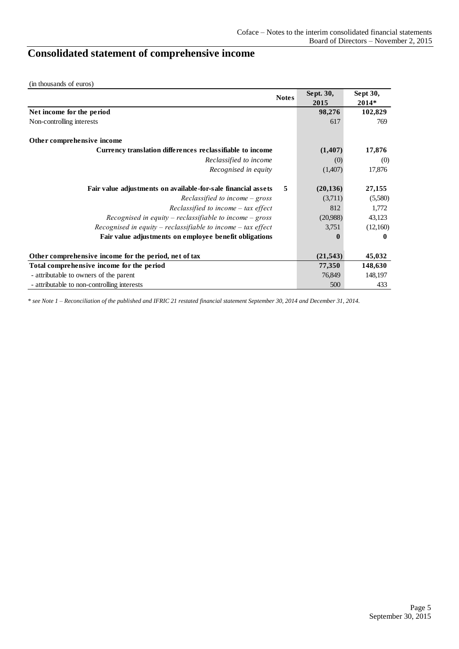# <span id="page-4-0"></span>**Consolidated statement of comprehensive income**

(in thousands of euros)

|                                                               | <b>Notes</b> | Sept. 30,    | Sept 30, |
|---------------------------------------------------------------|--------------|--------------|----------|
|                                                               |              | 2015         | 2014*    |
| Net income for the period                                     |              | 98,276       | 102,829  |
| Non-controlling interests                                     |              | 617          | 769      |
| Other comprehensive income                                    |              |              |          |
| Currency translation differences reclassifiable to income     |              | (1,407)      | 17,876   |
| Reclassified to income                                        |              | (0)          | (0)      |
| Recognised in equity                                          |              | (1,407)      | 17,876   |
| Fair value adjustments on available-for-sale financial assets | 5            | (20, 136)    | 27,155   |
| Reclassified to income $-$ gross                              |              | (3,711)      | (5,580)  |
| Reclassified to income $-$ tax effect                         |              | 812          | 1,772    |
| Recognised in equity – reclassifiable to income – gross       |              | (20,988)     | 43,123   |
| Recognised in equity – reclassifiable to income – tax effect  |              | 3,751        | (12,160) |
| Fair value adjustments on employee benefit obligations        |              | $\mathbf{0}$ | 0        |
| Other comprehensive income for the period, net of tax         |              | (21, 543)    | 45,032   |
| Total comprehensive income for the period                     |              | 77,350       | 148,630  |
| - attributable to owners of the parent                        |              | 76,849       | 148,197  |
| - attributable to non-controlling interests                   |              | 500          | 433      |

*\* see Note 1 – Reconciliation of the published and IFRIC 21 restated financial statement September 30, 2014 and December 31, 2014.*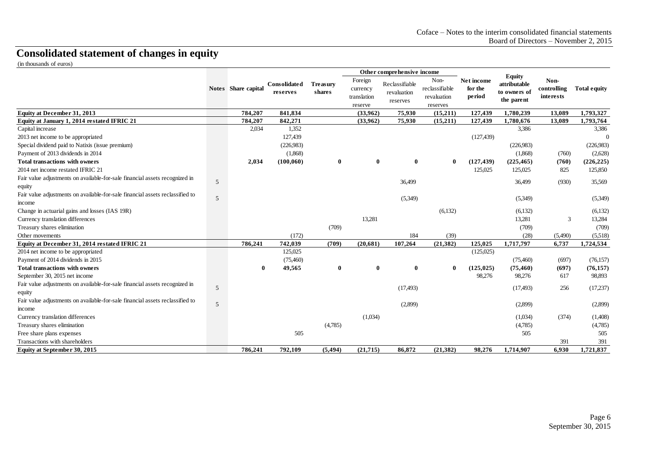# **Consolidated statement of changes in equity**

(in thousands of euros)

<span id="page-5-0"></span>

|                                                                                       |   |                     |                          |                           |                                               | Other comprehensive income                |                                                   |                                 |                                                             |                                  |                     |
|---------------------------------------------------------------------------------------|---|---------------------|--------------------------|---------------------------|-----------------------------------------------|-------------------------------------------|---------------------------------------------------|---------------------------------|-------------------------------------------------------------|----------------------------------|---------------------|
|                                                                                       |   | Notes Share capital | Consolidated<br>reserves | <b>Treasury</b><br>shares | Foreign<br>currency<br>translation<br>reserve | Reclassifiable<br>revaluation<br>reserves | Non-<br>reclassifiable<br>revaluation<br>reserves | Net income<br>for the<br>period | <b>Equity</b><br>attributable<br>to owners of<br>the parent | Non-<br>controlling<br>interests | <b>Total equity</b> |
| <b>Equity at December 31, 2013</b>                                                    |   | 784,207             | 841,834                  |                           | (33.962)                                      | 75.930                                    | (15,211)                                          | 127,439                         | 1.780.239                                                   | 13,089                           | 1,793,327           |
| Equity at January 1, 2014 restated IFRIC 21                                           |   | 784,207             | 842,271                  |                           | (33,962)                                      | 75,930                                    | (15,211)                                          | 127,439                         | 1,780,676                                                   | 13,089                           | 1,793,764           |
| Capital increase                                                                      |   | 2.034               | 1,352                    |                           |                                               |                                           |                                                   |                                 | 3.386                                                       |                                  | 3,386               |
| 2013 net income to be appropriated                                                    |   |                     | 127,439                  |                           |                                               |                                           |                                                   | (127, 439)                      |                                                             |                                  | $\Omega$            |
| Special dividend paid to Natixis (issue premium)                                      |   |                     | (226,983)                |                           |                                               |                                           |                                                   |                                 | (226,983)                                                   |                                  | (226,983)           |
| Payment of 2013 dividends in 2014                                                     |   |                     | (1,868)                  |                           |                                               |                                           |                                                   |                                 | (1,868)                                                     | (760)                            | (2,628)             |
| <b>Total transactions with owners</b>                                                 |   | 2,034               | (100, 060)               | $\bf{0}$                  | $\bf{0}$                                      | $\bf{0}$                                  | $\bf{0}$                                          | (127, 439)                      | (225, 465)                                                  | (760)                            | (226, 225)          |
| 2014 net income restated IFRIC 21                                                     |   |                     |                          |                           |                                               |                                           |                                                   | 125,025                         | 125,025                                                     | 825                              | 125,850             |
| Fair value adjustments on available-for-sale financial assets recognized in<br>equity | 5 |                     |                          |                           |                                               | 36,499                                    |                                                   |                                 | 36,499                                                      | (930)                            | 35,569              |
| Fair value adjustments on available-for-sale financial assets reclassified to         | 5 |                     |                          |                           |                                               | (5,349)                                   |                                                   |                                 | (5,349)                                                     |                                  | (5,349)             |
| income                                                                                |   |                     |                          |                           |                                               |                                           |                                                   |                                 |                                                             |                                  |                     |
| Change in actuarial gains and losses (IAS 19R)                                        |   |                     |                          |                           |                                               |                                           | (6,132)                                           |                                 | (6,132)                                                     |                                  | (6,132)             |
| Currency translation differences                                                      |   |                     |                          |                           | 13,281                                        |                                           |                                                   |                                 | 13,281                                                      | 3                                | 13,284              |
| Treasury shares elimination                                                           |   |                     |                          | (709)                     |                                               |                                           |                                                   |                                 | (709)                                                       |                                  | (709)               |
| Other movements                                                                       |   |                     | (172)                    |                           |                                               | 184                                       | (39)                                              |                                 | (28)                                                        | (5,490)                          | (5,518)             |
| Equity at December 31, 2014 restated IFRIC 21                                         |   | 786,241             | 742,039                  | (709)                     | (20,681)                                      | 107,264                                   | (21, 382)                                         | 125,025                         | 1,717,797                                                   | 6,737                            | 1,724,534           |
| 2014 net income to be appropriated                                                    |   |                     | 125,025                  |                           |                                               |                                           |                                                   | (125,025)                       |                                                             |                                  |                     |
| Payment of 2014 dividends in 2015                                                     |   |                     | (75,460)                 |                           |                                               |                                           |                                                   |                                 | (75,460)                                                    | (697)                            | (76, 157)           |
| <b>Total transactions with owners</b>                                                 |   | 0                   | 49,565                   | $\mathbf{0}$              | $\bf{0}$                                      | $\bf{0}$                                  | $\mathbf 0$                                       | (125, 025)                      | (75, 460)                                                   | (697)                            | (76, 157)           |
| September 30, 2015 net income                                                         |   |                     |                          |                           |                                               |                                           |                                                   | 98,276                          | 98,276                                                      | 617                              | 98,893              |
| Fair value adjustments on available-for-sale financial assets recognized in           | 5 |                     |                          |                           |                                               |                                           |                                                   |                                 |                                                             | 256                              |                     |
| equity                                                                                |   |                     |                          |                           |                                               | (17, 493)                                 |                                                   |                                 | (17, 493)                                                   |                                  | (17,237)            |
| Fair value adjustments on available-for-sale financial assets reclassified to         |   |                     |                          |                           |                                               |                                           |                                                   |                                 |                                                             |                                  |                     |
| income                                                                                | 5 |                     |                          |                           |                                               | (2,899)                                   |                                                   |                                 | (2,899)                                                     |                                  | (2,899)             |
| Currency translation differences                                                      |   |                     |                          |                           | (1,034)                                       |                                           |                                                   |                                 | (1,034)                                                     | (374)                            | (1,408)             |
| Treasury shares elimination                                                           |   |                     |                          | (4,785)                   |                                               |                                           |                                                   |                                 | (4,785)                                                     |                                  | (4,785)             |
| Free share plans expenses                                                             |   |                     | 505                      |                           |                                               |                                           |                                                   |                                 | 505                                                         |                                  | 505                 |
| Transactions with shareholders                                                        |   |                     |                          |                           |                                               |                                           |                                                   |                                 |                                                             | 391                              | 391                 |
| Equity at September 30, 2015                                                          |   | 786,241             | 792,109                  | (5, 494)                  | (21,715)                                      | 86.872                                    | (21, 382)                                         | 98,276                          | 1,714,907                                                   | 6.930                            | 1,721,837           |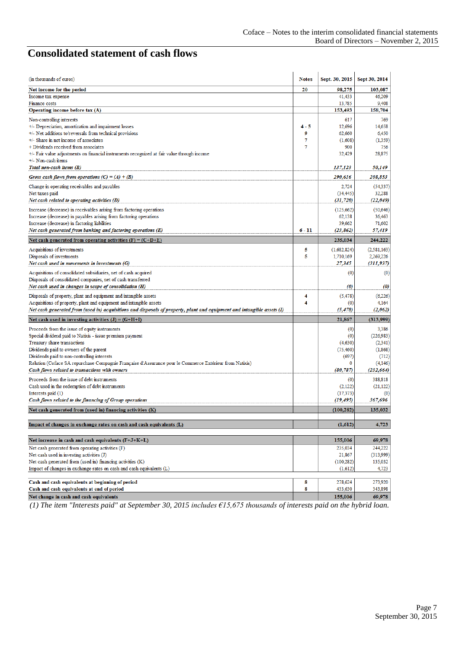## <span id="page-6-0"></span>**Consolidated statement of cash flows**

| (in thousands of euros)                                                                                                 | <b>Notes</b> | Sept. 30, 2015       | Sept 30, 2014         |
|-------------------------------------------------------------------------------------------------------------------------|--------------|----------------------|-----------------------|
| Net income for the period                                                                                               | 20           | 98.275               | 103,087               |
| Income tax expense                                                                                                      |              | 41,433               | 46,209                |
| Finance costs                                                                                                           |              | 13,785               | 9,408                 |
| Operating income before tax (A)                                                                                         |              | 153,493              | 158.704               |
| Non-controlling interests                                                                                               |              | 617                  | 769                   |
| +/- Depreciation, amortization and impairment losses                                                                    | $4 - 5$      | 12,696               | 14,658                |
| +/- Net additions to/reversals from technical provisions<br>+/- Share in net income of associates                       | 9<br>7       | 62.660<br>(1,608)    | 6,450                 |
| + Dividends received from associates                                                                                    | 7            | 900                  | (1, 359)<br>756       |
| +/- Fair value adjustments on financial instruments recognized at fair value through income                             |              | 32,429               | 28,875                |
| +/- Non-cash items                                                                                                      |              |                      |                       |
| Total non-cash items (B)                                                                                                |              | 137,123              | 50,149                |
| Gross cash flows from operations $(C) = (A) + (B)$                                                                      |              | 290,616              | 208,853               |
| Change in operating receivables and payables                                                                            |              | 2,724                | (54, 337)             |
| Net taxes paid                                                                                                          |              | (34, 445)            | 32,288                |
| Net cash related to operating activities (D)                                                                            |              | (31, 720)            | (22,049)              |
| Increase (decrease) in receivables arising from factoring operations                                                    |              | (125, 662)           | (50, 646)             |
| Increase (decrease) in payables arising from factoring operations                                                       |              | 62,138               | 36,463                |
| Increase (decrease) in factoring liabilities                                                                            |              | 39,662               | 71,602                |
| Net cash generated from banking and factoring operations (E)                                                            | $6 - 11$     | (23, 862)            | 57,419                |
| Net cash generated from operating activities $(F) = (C + D + E)$                                                        |              | 235,034              | 244,222               |
| Acquisitions of investments                                                                                             | 5            | (1,682,824)          | (2, 581, 163)         |
| Disposals of investments                                                                                                | 5            | 1,710,169            | 2,269,226             |
| Net cash used in movements in investments (G)                                                                           |              | 27,345               | (311, 937)            |
| Acquisitions of consolidated subsidiaries, net of cash acquired                                                         |              | (0)                  | (0)                   |
| Disposals of consolidated companies, net of cash transferred                                                            |              |                      |                       |
| Net cash used in changes in scope of consolidation (H)                                                                  |              | (0)                  | $\boldsymbol{\theta}$ |
| Disposals of property, plant and equipment and intangible assets                                                        | 4            | (5, 478)             | (6,226)               |
| Acquisitions of property, plant and equipment and intangible assets                                                     | 4            | (0)                  | 4,164                 |
| Net cash generated from (used in) acquisitions and disposals of property, plant and equipment and intangible assets (I) |              | (5, 478)             | (2,062)               |
| Net cash used in investing activities $(J) = (G+H+I)$                                                                   |              | 21,867               | (313,999)             |
| Proceeds from the issue of equity instruments                                                                           |              | (0)                  | 3,386                 |
| Special dividend paid to Natixis - issue premium payment                                                                |              | (0)                  | (226, 983)            |
| Treasury share transactions                                                                                             |              | (4,630)              | (2, 341)              |
| Dividends paid to owners of the parent                                                                                  |              | (75, 460)            | (1, 868)              |
| Dividends paid to non-controlling interests                                                                             |              | (697)                | (712)                 |
| Relution (Coface SA repurchase Compagnie Française d'Assurance pour le Commerce Extérieur from Natixis)                 |              | 0                    | (4,146)               |
| Cash flows related to transactions with owners                                                                          |              | (80, 787)            | (232, 664)            |
| Proceeds from the issue of debt instruments                                                                             |              | (0)                  | 388,818               |
| Cash used in the redemption of debt instruments<br>Interests paid (1)                                                   |              | (2,122)<br>(17, 373) | (21, 122)<br>(0)      |
| Cash flows related to the financing of Group operations                                                                 |              | (19, 495)            | 367,696               |
| Net cash generated from (used in) financing activities (K)                                                              |              | (100, 282)           | 135,032               |
|                                                                                                                         |              |                      |                       |
| Impact of changes in exchange rates on cash and cash equivalents (L)                                                    |              | (1,612)              | 4,723                 |
| Net increase in cash and cash equivalents (F+J+K+L)                                                                     |              | 155,006              | 69,978                |
| Net cash generated from operating activities (F)                                                                        |              | 235,034              | 244,222               |
| Net cash used in investing activities (J)                                                                               |              | 21,867               | (313,999)             |
| Net cash generated from (used in) financing activities (K)                                                              |              | (100, 282)           | 135,032               |
| Impact of changes in exchange rates on cash and cash equivalents (L)                                                    |              | (1,612)              | 4,723                 |
|                                                                                                                         |              |                      |                       |
| Cash and cash equivalents at beginning of period<br>Cash and cash equivalents at end of period                          | 8<br>8       | 278,624<br>433,630   | 273,920               |
| Net change in cash and cash equivalents                                                                                 |              | 155,006              | 343,898<br>69,978     |
|                                                                                                                         |              |                      |                       |

*(1) The item "Interests paid" at September 30, 2015 includes €15,675 thousands of interests paid on the hybrid loan.*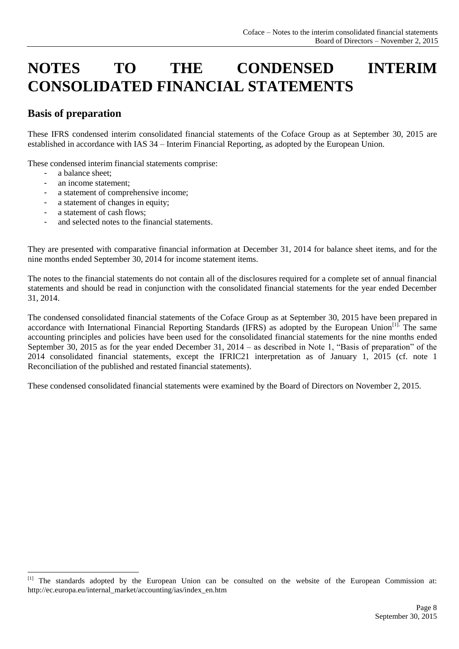# <span id="page-7-0"></span>**NOTES TO THE CONDENSED INTERIM CONSOLIDATED FINANCIAL STATEMENTS**

### **Basis of preparation**

These IFRS condensed interim consolidated financial statements of the Coface Group as at September 30, 2015 are established in accordance with IAS 34 – Interim Financial Reporting, as adopted by the European Union.

These condensed interim financial statements comprise:

a balance sheet:

1

- an income statement:
- a statement of comprehensive income;
- a statement of changes in equity;
- a statement of cash flows:
- and selected notes to the financial statements.

They are presented with comparative financial information at December 31, 2014 for balance sheet items, and for the nine months ended September 30, 2014 for income statement items.

The notes to the financial statements do not contain all of the disclosures required for a complete set of annual financial statements and should be read in conjunction with the consolidated financial statements for the year ended December 31, 2014.

The condensed consolidated financial statements of the Coface Group as at September 30, 2015 have been prepared in accordance with International Financial Reporting Standards (IFRS) as adopted by the European Union<sup>[1]</sup>. The same accounting principles and policies have been used for the consolidated financial statements for the nine months ended September 30, 2015 as for the year ended December 31, 2014 – as described in Note 1, "Basis of preparation" of the 2014 consolidated financial statements, except the IFRIC21 interpretation as of January 1, 2015 (cf. note 1 Reconciliation of the published and restated financial statements).

These condensed consolidated financial statements were examined by the Board of Directors on November 2, 2015.

<sup>[1]</sup> The standards adopted by the European Union can be consulted on the website of the European Commission at: http://ec.europa.eu/internal\_market/accounting/ias/index\_en.htm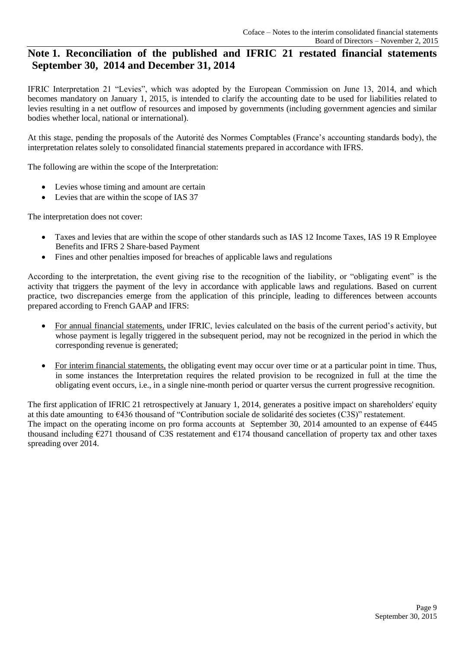### <span id="page-8-0"></span>**Note 1. Reconciliation of the published and IFRIC 21 restated financial statements September 30, 2014 and December 31, 2014**

IFRIC Interpretation 21 "Levies", which was adopted by the European Commission on June 13, 2014, and which becomes mandatory on January 1, 2015, is intended to clarify the accounting date to be used for liabilities related to levies resulting in a net outflow of resources and imposed by governments (including government agencies and similar bodies whether local, national or international).

At this stage, pending the proposals of the Autorité des Normes Comptables (France's accounting standards body), the interpretation relates solely to consolidated financial statements prepared in accordance with IFRS.

The following are within the scope of the Interpretation:

- Levies whose timing and amount are certain
- Levies that are within the scope of IAS 37

The interpretation does not cover:

- Taxes and levies that are within the scope of other standards such as IAS 12 Income Taxes, IAS 19 R Employee Benefits and IFRS 2 Share-based Payment
- Fines and other penalties imposed for breaches of applicable laws and regulations

According to the interpretation, the event giving rise to the recognition of the liability, or "obligating event" is the activity that triggers the payment of the levy in accordance with applicable laws and regulations. Based on current practice, two discrepancies emerge from the application of this principle, leading to differences between accounts prepared according to French GAAP and IFRS:

- For annual financial statements, under IFRIC, levies calculated on the basis of the current period's activity, but whose payment is legally triggered in the subsequent period, may not be recognized in the period in which the corresponding revenue is generated;
- For interim financial statements, the obligating event may occur over time or at a particular point in time. Thus, in some instances the Interpretation requires the related provision to be recognized in full at the time the obligating event occurs, i.e., in a single nine-month period or quarter versus the current progressive recognition.

The first application of IFRIC 21 retrospectively at January 1, 2014, generates a positive impact on shareholders' equity at this date amounting to €436 thousand of "Contribution sociale de solidarité des societes (C3S)" restatement. The impact on the operating income on pro forma accounts at September 30, 2014 amounted to an expense of €445 thousand including €271 thousand of C3S restatement and €174 thousand cancellation of property tax and other taxes spreading over 2014.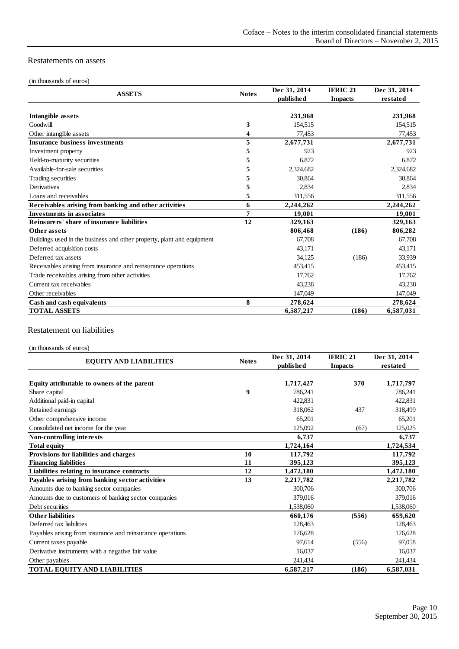#### Restatements on assets

#### (in thousands of euros)

| <b>ASSETS</b>                                                          | <b>Notes</b> | Dec 31, 2014<br><b>published</b> | <b>IFRIC 21</b><br><b>Impacts</b> | Dec 31, 2014<br>restated |
|------------------------------------------------------------------------|--------------|----------------------------------|-----------------------------------|--------------------------|
|                                                                        |              |                                  |                                   |                          |
| Intangible assets                                                      |              | 231,968                          |                                   | 231,968                  |
| Goodwill                                                               | 3            | 154,515                          |                                   | 154,515                  |
| Other intangible assets                                                | 4            | 77,453                           |                                   | 77,453                   |
| <b>Insurance business investments</b>                                  | 5            | 2,677,731                        |                                   | 2,677,731                |
| Investment property                                                    | 5            | 923                              |                                   | 923                      |
| Held-to-maturity securities                                            | 5            | 6,872                            |                                   | 6,872                    |
| Available-for-sale securities                                          | 5            | 2,324,682                        |                                   | 2,324,682                |
| Trading securities                                                     | 5            | 30,864                           |                                   | 30,864                   |
| <b>Derivatives</b>                                                     | 5            | 2,834                            |                                   | 2,834                    |
| Loans and receivables                                                  | 5            | 311,556                          |                                   | 311,556                  |
| Receivables arising from banking and other activities                  | 6            | 2,244,262                        |                                   | 2,244,262                |
| <b>Investments in associates</b>                                       | 7            | 19,001                           |                                   | 19,001                   |
| Reinsurers' share of insurance liabilities                             | 12           | 329,163                          |                                   | 329,163                  |
| Other assets                                                           |              | 806,468                          | (186)                             | 806,282                  |
| Buildings used in the business and other property, plant and equipment |              | 67,708                           |                                   | 67,708                   |
| Deferred acquisition costs                                             |              | 43,171                           |                                   | 43,171                   |
| Deferred tax assets                                                    |              | 34,125                           | (186)                             | 33,939                   |
| Receivables arising from insurance and reinsurance operations          |              | 453,415                          |                                   | 453,415                  |
| Trade receivables arising from other activities                        |              | 17,762                           |                                   | 17,762                   |
| Current tax receivables                                                |              | 43,238                           |                                   | 43,238                   |
| Other receivables                                                      |              | 147,049                          |                                   | 147,049                  |
| Cash and cash equivalents                                              | 8            | 278,624                          |                                   | 278,624                  |
| <b>TOTAL ASSETS</b>                                                    |              | 6,587,217                        | (186)                             | 6,587,031                |

#### Restatement on liabilities

(in thousands of euros)

| <b>EQUITY AND LIABILITIES</b>                              | <b>Notes</b> | Dec 31, 2014<br>published | <b>IFRIC 21</b><br><b>Impacts</b> | Dec 31, 2014<br>restated |
|------------------------------------------------------------|--------------|---------------------------|-----------------------------------|--------------------------|
|                                                            |              |                           |                                   |                          |
| Equity attributable to owners of the parent                |              | 1,717,427                 | 370                               | 1,717,797                |
| Share capital                                              | 9            | 786.241                   |                                   | 786,241                  |
| Additional paid-in capital                                 |              | 422,831                   |                                   | 422,831                  |
| Retained earnings                                          |              | 318,062                   | 437                               | 318,499                  |
| Other comprehensive income                                 |              | 65,201                    |                                   | 65,201                   |
| Consolidated net income for the year                       |              | 125,092                   | (67)                              | 125,025                  |
| Non-controlling interests                                  |              | 6,737                     |                                   | 6,737                    |
| <b>Total equity</b>                                        |              | 1,724,164                 |                                   | 1,724,534                |
| Provisions for liabilities and charges                     | 10           | 117,792                   |                                   | 117,792                  |
| <b>Financing liabilities</b>                               | 11           | 395,123                   |                                   | 395,123                  |
| Liabilities relating to insurance contracts                | 12           | 1,472,180                 |                                   | 1,472,180                |
| Payables arising from banking sector activities            | 13           | 2,217,782                 |                                   | 2,217,782                |
| Amounts due to banking sector companies                    |              | 300,706                   |                                   | 300,706                  |
| Amounts due to customers of banking sector companies       |              | 379,016                   |                                   | 379,016                  |
| Debt securities                                            |              | 1,538,060                 |                                   | 1,538,060                |
| <b>Other liabilities</b>                                   |              | 660,176                   | (556)                             | 659,620                  |
| Deferred tax liabilities                                   |              | 128,463                   |                                   | 128,463                  |
| Payables arising from insurance and reinsurance operations |              | 176,628                   |                                   | 176,628                  |
| Current taxes payable                                      |              | 97,614                    | (556)                             | 97,058                   |
| Derivative instruments with a negative fair value          |              | 16,037                    |                                   | 16,037                   |
| Other payables                                             |              | 241,434                   |                                   | 241,434                  |
| <b>TOTAL EQUITY AND LIABILITIES</b>                        |              | 6,587,217                 | (186)                             | 6,587,031                |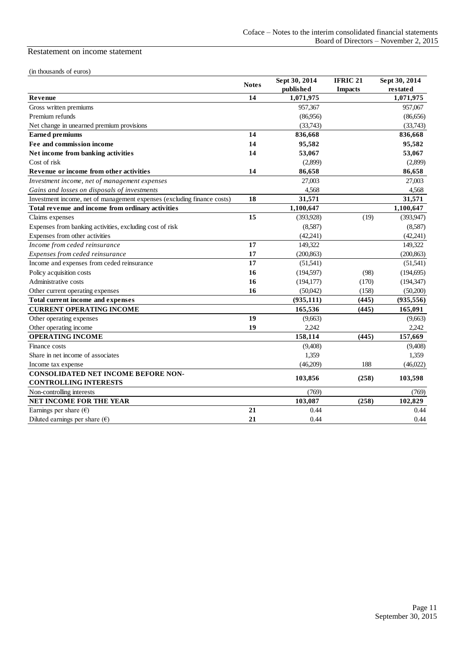#### Restatement on income statement

| (in thousands of euros)                                                    |              | Sept 30, 2014 | <b>IFRIC 21</b> | Sept 30, 2014 |
|----------------------------------------------------------------------------|--------------|---------------|-----------------|---------------|
|                                                                            | <b>Notes</b> | published     | <b>Impacts</b>  | restated      |
| Revenue                                                                    | 14           | 1,071,975     |                 | 1,071,975     |
| Gross written premiums                                                     |              | 957,367       |                 | 957,067       |
| Premium refunds                                                            |              | (86,956)      |                 | (86,656)      |
| Net change in unearned premium provisions                                  |              | (33,743)      |                 | (33,743)      |
| <b>Earned</b> premiums                                                     | 14           | 836,668       |                 | 836,668       |
| Fee and commission income                                                  | 14           | 95,582        |                 | 95,582        |
| Net income from banking activities                                         | 14           | 53,067        |                 | 53,067        |
| Cost of risk                                                               |              | (2,899)       |                 | (2,899)       |
| Revenue or income from other activities                                    | 14           | 86,658        |                 | 86.658        |
| Investment income, net of management expenses                              |              | 27,003        |                 | 27,003        |
| Gains and losses on disposals of investments                               |              | 4,568         |                 | 4,568         |
| Investment income, net of management expenses (excluding finance costs)    | 18           | 31,571        |                 | 31,571        |
| Total revenue and income from ordinary activities                          |              | 1,100,647     |                 | 1,100,647     |
| Claims expenses                                                            | 15           | (393, 928)    | (19)            | (393, 947)    |
| Expenses from banking activities, excluding cost of risk                   |              | (8,587)       |                 | (8,587)       |
| Expenses from other activities                                             |              | (42, 241)     |                 | (42,241)      |
| Income from ceded reinsurance                                              | 17           | 149,322       |                 | 149,322       |
| Expenses from ceded reinsurance                                            | 17           | (200, 863)    |                 | (200, 863)    |
| Income and expenses from ceded reinsurance                                 | 17           | (51, 541)     |                 | (51,541)      |
| Policy acquisition costs                                                   | 16           | (194, 597)    | (98)            | (194, 695)    |
| Administrative costs                                                       | 16           | (194, 177)    | (170)           | (194, 347)    |
| Other current operating expenses                                           | 16           | (50,042)      | (158)           | (50,200)      |
| Total current income and expenses                                          |              | (935, 111)    | (445)           | (935, 556)    |
| <b>CURRENT OPERATING INCOME</b>                                            |              | 165,536       | (445)           | 165,091       |
| Other operating expenses                                                   | 19           | (9,663)       |                 | (9,663)       |
| Other operating income                                                     | 19           | 2.242         |                 | 2.242         |
| <b>OPERATING INCOME</b>                                                    |              | 158,114       | (445)           | 157,669       |
| Finance costs                                                              |              | (9,408)       |                 | (9,408)       |
| Share in net income of associates                                          |              | 1,359         |                 | 1,359         |
| Income tax expense                                                         |              | (46,209)      | 188             | (46,022)      |
| <b>CONSOLIDATED NET INCOME BEFORE NON-</b><br><b>CONTROLLING INTERESTS</b> |              | 103,856       | (258)           | 103,598       |
| Non-controlling interests                                                  |              | (769)         |                 | (769)         |
| NET INCOME FOR THE YEAR                                                    |              | 103,087       | (258)           | 102.829       |
| Earnings per share $(\epsilon)$                                            | 21           | 0.44          |                 | 0.44          |
| Diluted earnings per share $(\epsilon)$                                    | 21           | 0.44          |                 | 0.44          |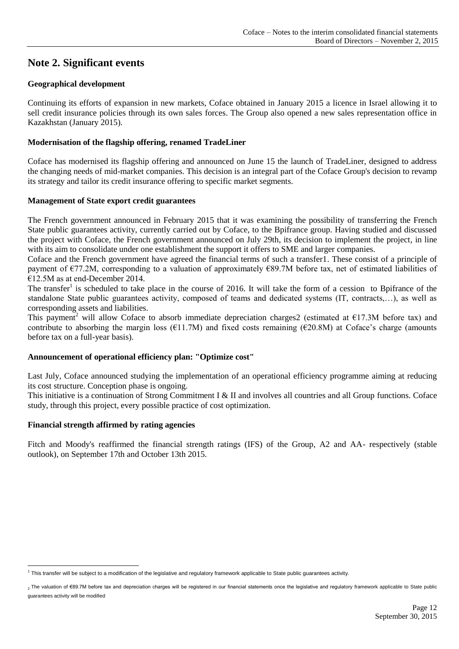### <span id="page-11-0"></span>**Note 2. Significant events**

#### **Geographical development**

Continuing its efforts of expansion in new markets, Coface obtained in January 2015 a licence in Israel allowing it to sell credit insurance policies through its own sales forces. The Group also opened a new sales representation office in Kazakhstan (January 2015).

#### **Modernisation of the flagship offering, renamed TradeLiner**

Coface has modernised its flagship offering and announced on June 15 the launch of TradeLiner, designed to address the changing needs of mid-market companies. This decision is an integral part of the Coface Group's decision to revamp its strategy and tailor its credit insurance offering to specific market segments.

#### **Management of State export credit guarantees**

The French government announced in February 2015 that it was examining the possibility of transferring the French State public guarantees activity, currently carried out by Coface, to the Bpifrance group. Having studied and discussed the project with Coface, the French government announced on July 29th, its decision to implement the project, in line with its aim to consolidate under one establishment the support it offers to SME and larger companies.

Coface and the French government have agreed the financial terms of such a transfer1. These consist of a principle of payment of  $\epsilon$ 77.2M, corresponding to a valuation of approximately  $\epsilon$ 89.7M before tax, net of estimated liabilities of €12.5M as at end-December 2014.

The transfer<sup>1</sup> is scheduled to take place in the course of 2016. It will take the form of a cession to Bpifrance of the standalone State public guarantees activity, composed of teams and dedicated systems (IT, contracts,…), as well as corresponding assets and liabilities.

This payment<sup>2</sup> will allow Coface to absorb immediate depreciation charges2 (estimated at  $\epsilon$ 17.3M before tax) and contribute to absorbing the margin loss ( $E11.7M$ ) and fixed costs remaining ( $E20.8M$ ) at Coface's charge (amounts before tax on a full-year basis).

#### **Announcement of operational efficiency plan: "Optimize cost"**

Last July, Coface announced studying the implementation of an operational efficiency programme aiming at reducing its cost structure. Conception phase is ongoing.

This initiative is a continuation of Strong Commitment I & II and involves all countries and all Group functions. Coface study, through this project, every possible practice of cost optimization.

#### **Financial strength affirmed by rating agencies**

Fitch and Moody's reaffirmed the financial strength ratings (IFS) of the Group, A2 and AA- respectively (stable outlook), on September 17th and October 13th 2015.

<sup>&</sup>lt;u>.</u> <sup>1</sup> This transfer will be subject to a modification of the legislative and regulatory framework applicable to State public guarantees activity.

<sup>2</sup> The valuation of €89.7M before tax and depreciation charges will be registered in our financial statements once the legislative and regulatory framework applicable to State public guarantees activity will be modified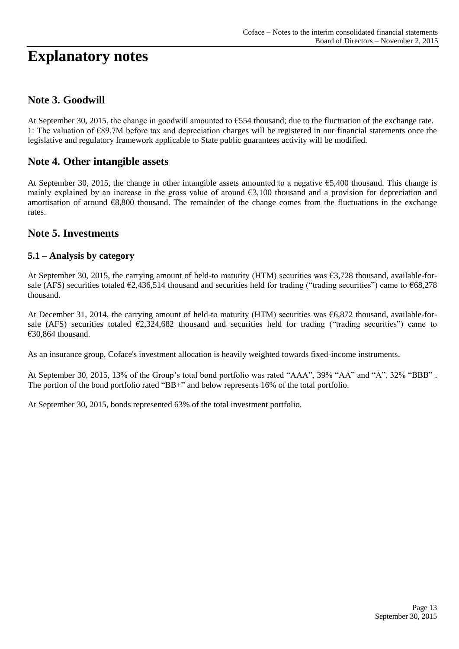# **Explanatory notes**

### <span id="page-12-0"></span>**Note 3. Goodwill**

At September 30, 2015, the change in goodwill amounted to €554 thousand; due to the fluctuation of the exchange rate. 1: The valuation of €89.7M before tax and depreciation charges will be registered in our financial statements once the legislative and regulatory framework applicable to State public guarantees activity will be modified.

### <span id="page-12-1"></span>**Note 4. Other intangible assets**

At September 30, 2015, the change in other intangible assets amounted to a negative €5,400 thousand. This change is mainly explained by an increase in the gross value of around  $\epsilon$ 3,100 thousand and a provision for depreciation and amortisation of around  $68,800$  thousand. The remainder of the change comes from the fluctuations in the exchange rates.

### <span id="page-12-2"></span>**Note 5. Investments**

### **5.1 – Analysis by category**

At September 30, 2015, the carrying amount of held-to maturity (HTM) securities was  $\epsilon$ 3,728 thousand, available-forsale (AFS) securities totaled  $\epsilon$ 2,436,514 thousand and securities held for trading ("trading securities") came to  $\epsilon$ 68,278 thousand.

At December 31, 2014, the carrying amount of held-to maturity (HTM) securities was  $\epsilon$ 6,872 thousand, available-forsale (AFS) securities totaled  $\epsilon$ 2,324,682 thousand and securities held for trading ("trading securities") came to €30,864 thousand.

As an insurance group, Coface's investment allocation is heavily weighted towards fixed-income instruments.

At September 30, 2015, 13% of the Group's total bond portfolio was rated "AAA", 39% "AA" and "A", 32% "BBB" . The portion of the bond portfolio rated "BB+" and below represents 16% of the total portfolio.

At September 30, 2015, bonds represented 63% of the total investment portfolio.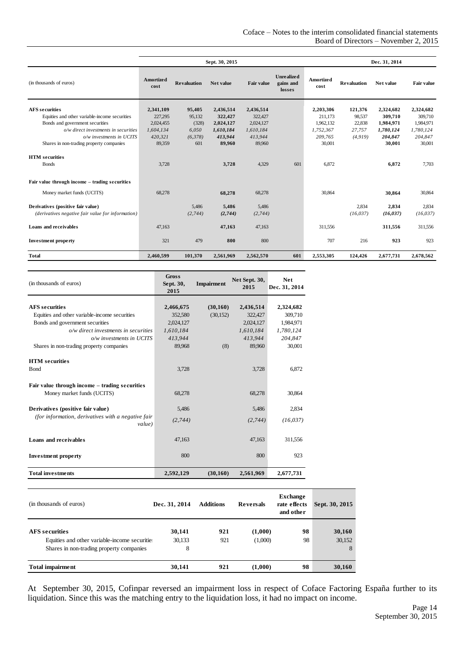|                                                   |                   |                    | Sept. 30, 2015 |                   | Dec. 31, 2014                            |                   |                    |           |                   |
|---------------------------------------------------|-------------------|--------------------|----------------|-------------------|------------------------------------------|-------------------|--------------------|-----------|-------------------|
| (in thousands of euros)                           | Amortized<br>cost | <b>Revaluation</b> | Net value      | <b>Fair value</b> | <b>Unrealized</b><br>gains and<br>losses | Amortized<br>cost | <b>Revaluation</b> | Net value | <b>Fair value</b> |
| <b>AFS</b> securities                             | 2,341,109         | 95,405             | 2,436,514      | 2,436,514         |                                          | 2,203,306         | 121,376            | 2,324,682 | 2,324,682         |
| Equities and other variable-income securities     | 227,295           | 95,132             | 322,427        | 322,427           |                                          | 211,173           | 98,537             | 309,710   | 309,710           |
| Bonds and government securities                   | 2,024,455         | (328)              | 2,024,127      | 2,024,127         |                                          | 1.962,132         | 22,838             | 1,984,971 | 1,984,971         |
| o/w direct investments in securities              | 1,604,134         | 6,050              | 1,610,184      | 1,610,184         |                                          | 1,752,367         | 27,757             | 1,780,124 | 1,780,124         |
| o/w investments in UCITS                          | 420,321           | (6,378)            | 413,944        | 413,944           |                                          | 209.765           | (4, 919)           | 204,847   | 204,847           |
| Shares in non-trading property companies          | 89,359            | 601                | 89,960         | 89,960            |                                          | 30,001            |                    | 30,001    | 30,001            |
| <b>HTM</b> securities<br><b>Bonds</b>             | 3.728             |                    | 3,728          | 4,329             | 601                                      | 6.872             |                    | 6,872     | 7,703             |
| Fair value through income - trading securities    |                   |                    |                |                   |                                          |                   |                    |           |                   |
| Money market funds (UCITS)                        | 68,278            |                    | 68,278         | 68,278            |                                          | 30,864            |                    | 30,864    | 30,864            |
| Derivatives (positive fair value)                 |                   | 5,486              | 5,486          | 5,486             |                                          |                   | 2,834              | 2,834     | 2,834             |
| (derivatives negative fair value for information) |                   | (2,744)            | (2,744)        | (2,744)           |                                          |                   | (16, 037)          | (16, 037) | (16, 037)         |
| Loans and receivables                             | 47,163            |                    | 47,163         | 47,163            |                                          | 311,556           |                    | 311,556   | 311,556           |
| <b>Investment property</b>                        | 321               | 479                | 800            | 800               |                                          | 707               | 216                | 923       | 923               |
| <b>Total</b>                                      | 2,460,599         | 101,370            | 2,561,969      | 2,562,570         | 601                                      | 2,553,305         | 124,426            | 2,677,731 | 2,678,562         |

| (in thousands of euros)                                      | <b>Gross</b><br>Sept. 30,<br>2015 | <b>Impairment</b> | Net Sept. 30,<br>2015 | <b>Net</b><br>Dec. 31, 2014 |
|--------------------------------------------------------------|-----------------------------------|-------------------|-----------------------|-----------------------------|
|                                                              |                                   |                   |                       |                             |
| <b>AFS</b> securities                                        | 2,466,675                         | (30, 160)         | 2,436,514             | 2,324,682                   |
| Equities and other variable-income securities                | 352,580                           | (30, 152)         | 322,427               | 309,710                     |
| Bonds and government securities                              | 2,024,127                         |                   | 2,024,127             | 1.984.971                   |
| o/w direct investments in securities                         | 1,610,184                         |                   | 1,610,184             | 1,780,124                   |
| o/w investments in UCITS                                     | 413.944                           |                   | 413.944               | 204,847                     |
| Shares in non-trading property companies                     | 89.968                            | (8)               | 89,960                | 30,001                      |
| <b>HTM</b> securities                                        |                                   |                   |                       |                             |
| Bond                                                         | 3,728                             |                   | 3,728                 | 6.872                       |
| Fair value through income – trading securities               |                                   |                   |                       |                             |
| Money market funds (UCITS)                                   | 68,278                            |                   | 68,278                | 30,864                      |
| Derivatives (positive fair value)                            | 5,486                             |                   | 5,486                 | 2.834                       |
| (for information, derivatives with a negative fair<br>value) | (2,744)                           |                   | (2,744)               | (16, 037)                   |
| Loans and receivables                                        | 47,163                            |                   | 47,163                | 311,556                     |
| <b>Investment property</b>                                   | 800                               |                   | 800                   | 923                         |
| <b>Total investments</b>                                     | 2,592,129                         | (30, 160)         | 2,561,969             | 2,677,731                   |

| (in thousands of euros)                                                                   | Dec. 31, 2014 | <b>Additions</b> | <b>Reversals</b> | <b>Exchange</b><br>rate effects<br>and other | Sept. 30, 2015 |
|-------------------------------------------------------------------------------------------|---------------|------------------|------------------|----------------------------------------------|----------------|
| <b>AFS</b> securities                                                                     | 30,141        | 921              | (1,000)          | 98                                           | 30,160         |
| Equities and other variable-income securities<br>Shares in non-trading property companies | 30,133<br>8   | 921              | (1,000)          | 98                                           | 30,152<br>8    |
| <b>Total impairment</b>                                                                   | 30,141        | 921              | (1,000)          | 98                                           | 30,160         |

At September 30, 2015, Cofinpar reversed an impairment loss in respect of Coface Factoring España further to its liquidation. Since this was the matching entry to the liquidation loss, it had no impact on income.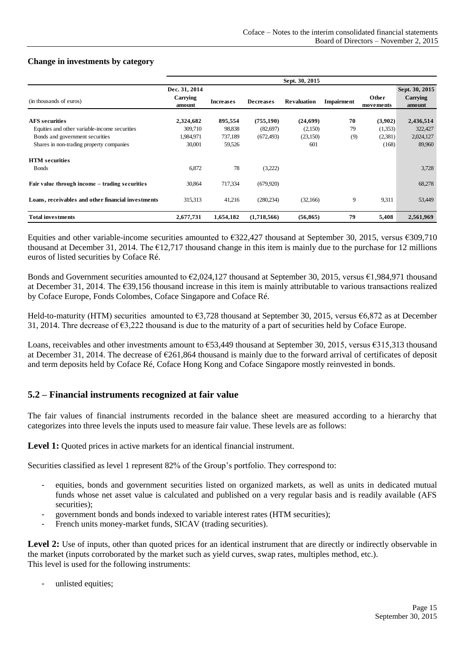#### **Change in investments by category**

|                                                    | Sept. 30, 2015            |                  |                  |                    |                   |           |                            |
|----------------------------------------------------|---------------------------|------------------|------------------|--------------------|-------------------|-----------|----------------------------|
|                                                    | Dec. 31, 2014<br>Carrying |                  |                  |                    |                   | Other     | Sept. 30, 2015<br>Carrying |
| (in thousands of euros)                            | amount                    | <b>Increases</b> | <b>Decreases</b> | <b>Revaluation</b> | <b>Impairment</b> | movements | amount                     |
| <b>AFS</b> securities                              | 2,324,682                 | 895,554          | (755, 190)       | (24,699)           | 70                | (3,902)   | 2,436,514                  |
| Equities and other variable-income securities      | 309,710                   | 98,838           | (82,697)         | (2,150)            | 79                | (1,353)   | 322,427                    |
| Bonds and government securities                    | 1,984,971                 | 737,189          | (672, 493)       | (23,150)           | (9)               | (2,381)   | 2,024,127                  |
| Shares in non-trading property companies           | 30,001                    | 59,526           |                  | 601                |                   | (168)     | 89,960                     |
| <b>HTM</b> securities                              |                           |                  |                  |                    |                   |           |                            |
| <b>B</b> onds                                      | 6,872                     | 78               | (3,222)          |                    |                   |           | 3,728                      |
| Fair value through income – trading securities     | 30,864                    | 717,334          | (679.920)        |                    |                   |           | 68,278                     |
| Loans, receivables and other financial investments | 315,313                   | 41,216           | (280, 234)       | (32,166)           | 9                 | 9,311     | 53,449                     |
| <b>Total investments</b>                           | 2,677,731                 | 1,654,182        | (1,718,566)      | (56, 865)          | 79                | 5,408     | 2,561,969                  |

Equities and other variable-income securities amounted to  $\epsilon$ 322,427 thousand at September 30, 2015, versus  $\epsilon$ 309,710 thousand at December 31, 2014. The  $E12,717$  thousand change in this item is mainly due to the purchase for 12 millions euros of listed securities by Coface Ré.

Bonds and Government securities amounted to €2,024,127 thousand at September 30, 2015, versus €1,984,971 thousand at December 31, 2014. The €39,156 thousand increase in this item is mainly attributable to various transactions realized by Coface Europe, Fonds Colombes, Coface Singapore and Coface Ré.

Held-to-maturity (HTM) securities amounted to €3,728 thousand at September 30, 2015, versus €6,872 as at December 31, 2014. Thre decrease of €3,222 thousand is due to the maturity of a part of securities held by Coface Europe.

Loans, receivables and other investments amount to €53,449 thousand at September 30, 2015, versus €315,313 thousand at December 31, 2014. The decrease of  $\epsilon$ 261,864 thousand is mainly due to the forward arrival of certificates of deposit and term deposits held by Coface Ré, Coface Hong Kong and Coface Singapore mostly reinvested in bonds.

#### **5.2 – Financial instruments recognized at fair value**

The fair values of financial instruments recorded in the balance sheet are measured according to a hierarchy that categorizes into three levels the inputs used to measure fair value. These levels are as follows:

Level 1: Ouoted prices in active markets for an identical financial instrument.

Securities classified as level 1 represent 82% of the Group's portfolio. They correspond to:

- equities, bonds and government securities listed on organized markets, as well as units in dedicated mutual funds whose net asset value is calculated and published on a very regular basis and is readily available (AFS securities):
- government bonds and bonds indexed to variable interest rates (HTM securities);
- French units money-market funds, SICAV (trading securities).

Level 2: Use of inputs, other than quoted prices for an identical instrument that are directly or indirectly observable in the market (inputs corroborated by the market such as yield curves, swap rates, multiples method, etc.). This level is used for the following instruments:

unlisted equities;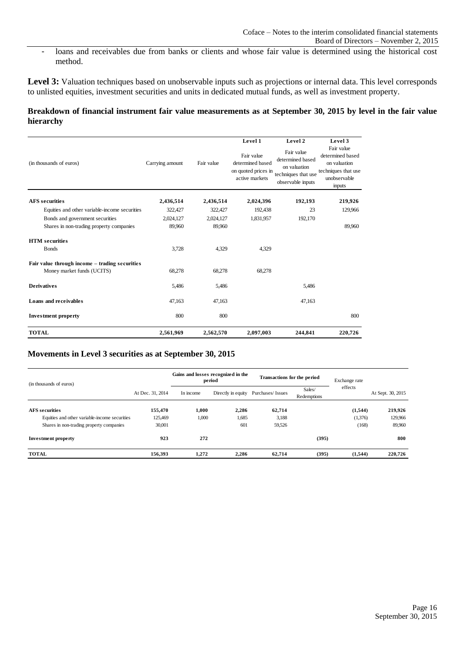- loans and receivables due from banks or clients and whose fair value is determined using the historical cost method.

Level 3: Valuation techniques based on unobservable inputs such as projections or internal data. This level corresponds to unlisted equities, investment securities and units in dedicated mutual funds, as well as investment property.

#### **Breakdown of financial instrument fair value measurements as at September 30, 2015 by level in the fair value hierarchy**

|                                                |                               |           | Level 1                                                                                                                                                               | Level 2 | Level 3                                                                                         |
|------------------------------------------------|-------------------------------|-----------|-----------------------------------------------------------------------------------------------------------------------------------------------------------------------|---------|-------------------------------------------------------------------------------------------------|
| (in thousands of euros)                        | Carrying amount<br>Fair value |           | Fair value<br>Fair value<br>determined based<br>determined based<br>on valuation<br>on quoted prices in<br>techniques that use<br>active markets<br>observable inputs |         | Fair value<br>determined based<br>on valuation<br>techniques that use<br>unobservable<br>inputs |
| <b>AFS</b> securities                          | 2,436,514                     | 2,436,514 | 2,024,396                                                                                                                                                             | 192,193 | 219,926                                                                                         |
| Equities and other variable-income securities  | 322,427                       | 322,427   | 192,438                                                                                                                                                               | 23      | 129,966                                                                                         |
| Bonds and government securities                | 2,024,127                     | 2,024,127 | 1,831,957                                                                                                                                                             | 192,170 |                                                                                                 |
| Shares in non-trading property companies       | 89,960                        | 89,960    |                                                                                                                                                                       |         | 89.960                                                                                          |
| <b>HTM</b> securities                          |                               |           |                                                                                                                                                                       |         |                                                                                                 |
| <b>B</b> onds                                  | 3,728                         | 4,329     | 4,329                                                                                                                                                                 |         |                                                                                                 |
| Fair value through income - trading securities |                               |           |                                                                                                                                                                       |         |                                                                                                 |
| Money market funds (UCITS)                     | 68,278                        | 68,278    | 68,278                                                                                                                                                                |         |                                                                                                 |
| <b>Derivatives</b>                             | 5,486                         | 5,486     |                                                                                                                                                                       | 5,486   |                                                                                                 |
| Loans and receivables                          | 47,163                        | 47,163    |                                                                                                                                                                       | 47,163  |                                                                                                 |
| <b>Investment property</b>                     | 800                           | 800       |                                                                                                                                                                       |         | 800                                                                                             |
| <b>TOTAL</b>                                   | 2,561,969                     | 2,562,570 | 2,097,003                                                                                                                                                             | 244,841 | 220,726                                                                                         |

#### **Movements in Level 3 securities as at September 30, 2015**

| (in thousands of euros)<br>At Dec. 31, 2014   |         |           | Gains and losses recognized in the<br>period | Transactions for the period |                       | Exchange rate |                   |
|-----------------------------------------------|---------|-----------|----------------------------------------------|-----------------------------|-----------------------|---------------|-------------------|
|                                               |         | In income | Directly in equity                           | Purchases/Issues            | Sales/<br>Redemptions | effects       | At Sept. 30, 2015 |
| <b>AFS</b> securities                         | 155,470 | 1,000     | 2,286                                        | 62,714                      |                       | (1,544)       | 219,926           |
| Equities and other variable-income securities | 125.469 | 1.000     | 1,685                                        | 3,188                       |                       | (1,376)       | 129,966           |
| Shares in non-trading property companies      | 30,001  |           | 601                                          | 59,526                      |                       | (168)         | 89,960            |
| <b>Investment property</b>                    | 923     | 272       |                                              |                             | (395)                 |               | 800               |
| <b>TOTAL</b>                                  | 156.393 | 1.272     | 2.286                                        | 62,714                      | (395)                 | (1,544)       | 220,726           |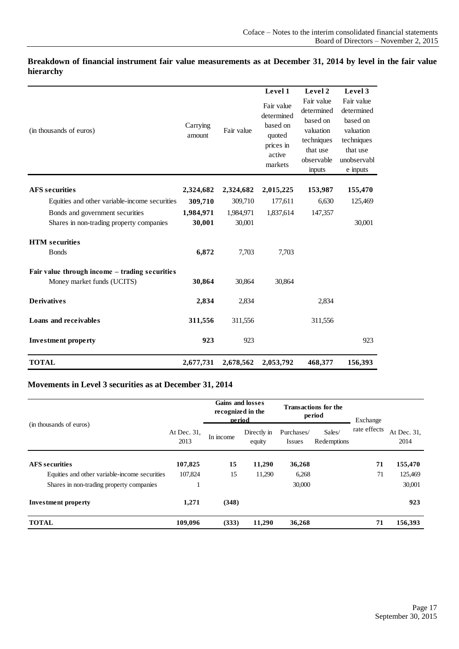|                                                                              |                     |                     | Level 1                                                                          | Level 2                                                                                             | Level 3                                                                                                |
|------------------------------------------------------------------------------|---------------------|---------------------|----------------------------------------------------------------------------------|-----------------------------------------------------------------------------------------------------|--------------------------------------------------------------------------------------------------------|
| (in thousands of euros)                                                      | Carrying<br>amount  | Fair value          | Fair value<br>determined<br>based on<br>quoted<br>prices in<br>active<br>markets | Fair value<br>determined<br>based on<br>valuation<br>techniques<br>that use<br>observable<br>inputs | Fair value<br>determined<br>based on<br>valuation<br>techniques<br>that use<br>unobservabl<br>e inputs |
| <b>AFS</b> securities                                                        | 2,324,682           | 2,324,682           | 2,015,225                                                                        | 153,987                                                                                             | 155,470                                                                                                |
| Equities and other variable-income securities                                | 309,710             | 309,710             | 177,611                                                                          | 6,630                                                                                               | 125,469                                                                                                |
| Bonds and government securities<br>Shares in non-trading property companies  | 1,984,971<br>30,001 | 1,984,971<br>30,001 | 1,837,614                                                                        | 147,357                                                                                             | 30,001                                                                                                 |
| <b>HTM</b> securities                                                        |                     |                     |                                                                                  |                                                                                                     |                                                                                                        |
| <b>B</b> onds                                                                | 6,872               | 7,703               | 7,703                                                                            |                                                                                                     |                                                                                                        |
| Fair value through income - trading securities<br>Money market funds (UCITS) | 30,864              | 30,864              | 30,864                                                                           |                                                                                                     |                                                                                                        |
| <b>Derivatives</b>                                                           | 2,834               | 2,834               |                                                                                  | 2,834                                                                                               |                                                                                                        |
| Loans and receivables                                                        | 311,556             | 311,556             |                                                                                  | 311,556                                                                                             |                                                                                                        |
| <b>Investment property</b>                                                   | 923                 | 923                 |                                                                                  |                                                                                                     | 923                                                                                                    |
| <b>TOTAL</b>                                                                 | 2,677,731           | 2,678,562           | 2,053,792                                                                        | 468,377                                                                                             | 156,393                                                                                                |

#### **Breakdown of financial instrument fair value measurements as at December 31, 2014 by level in the fair value hierarchy**

### **Movements in Level 3 securities as at December 31, 2014**

|                                               |                     | <b>Gains and losses</b><br>recognized in the<br>period |                       | <b>Transactions for the</b><br>period |                       | Exchange     |                     |
|-----------------------------------------------|---------------------|--------------------------------------------------------|-----------------------|---------------------------------------|-----------------------|--------------|---------------------|
| (in thousands of euros)                       | At Dec. 31,<br>2013 | In income                                              | Directly in<br>equity | Purchases/<br><b>Issues</b>           | Sales/<br>Redemptions | rate effects | At Dec. 31.<br>2014 |
| <b>AFS</b> securities                         | 107,825             | 15                                                     | 11,290                | 36,268                                |                       | 71           | 155,470             |
| Equities and other variable-income securities | 107,824             | 15                                                     | 11,290                | 6,268                                 |                       | 71           | 125,469             |
| Shares in non-trading property companies      |                     |                                                        |                       | 30,000                                |                       |              | 30,001              |
| <b>Investment property</b>                    | 1,271               | (348)                                                  |                       |                                       |                       |              | 923                 |
| <b>TOTAL</b>                                  | 109,096             | (333)                                                  | 11,290                | 36,268                                |                       | 71           | 156,393             |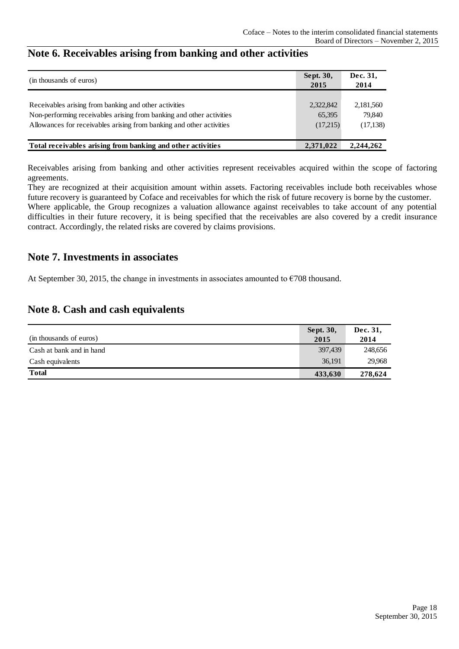| (in thousands of euros)                                              | Sept. 30, | Dec. 31,  |
|----------------------------------------------------------------------|-----------|-----------|
|                                                                      |           | 2014      |
|                                                                      |           |           |
| Receivables arising from banking and other activities                | 2,322,842 | 2,181,560 |
| Non-performing receivables arising from banking and other activities | 65,395    | 79.840    |
| Allowances for receivables arising from banking and other activities | (17,215)  | (17, 138) |
|                                                                      |           |           |
| Total receivables arising from banking and other activities          | 2,371,022 | 2,244,262 |

## <span id="page-17-0"></span>**Note 6. Receivables arising from banking and other activities**

Receivables arising from banking and other activities represent receivables acquired within the scope of factoring agreements.

They are recognized at their acquisition amount within assets. Factoring receivables include both receivables whose future recovery is guaranteed by Coface and receivables for which the risk of future recovery is borne by the customer. Where applicable, the Group recognizes a valuation allowance against receivables to take account of any potential difficulties in their future recovery, it is being specified that the receivables are also covered by a credit insurance contract. Accordingly, the related risks are covered by claims provisions.

### <span id="page-17-1"></span>**Note 7. Investments in associates**

At September 30, 2015, the change in investments in associates amounted to  $\epsilon$ 708 thousand.

### <span id="page-17-2"></span>**Note 8. Cash and cash equivalents**

|                          | <b>Sept. 30,</b> | Dec. 31, |
|--------------------------|------------------|----------|
| (in thousands of euros)  | 2015             | 2014     |
| Cash at bank and in hand | 397,439          | 248,656  |
| Cash equivalents         | 36,191           | 29.968   |
| <b>Total</b>             | 433,630          | 278,624  |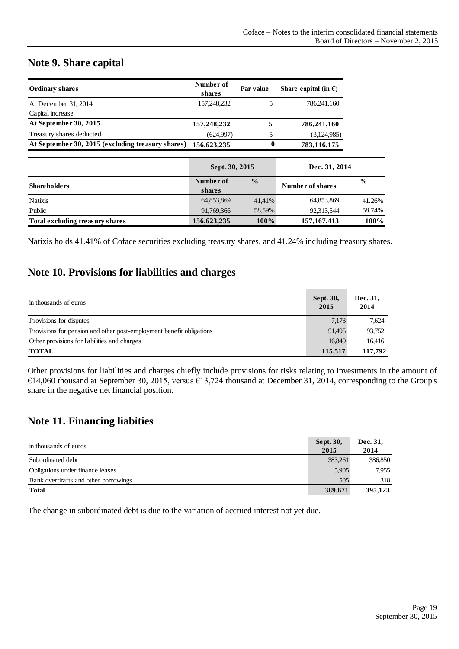### <span id="page-18-0"></span>**Note 9. Share capital**

| <b>Ordinary shares</b>                            | Number of<br>shares | Par value     | Share capital (in $\epsilon$ ) |               |
|---------------------------------------------------|---------------------|---------------|--------------------------------|---------------|
| At December 31, 2014                              | 157,248,232         | 5             | 786,241,160                    |               |
| Capital increase                                  |                     |               |                                |               |
| At September 30, 2015                             | 157,248,232         | 5             | 786,241,160                    |               |
| Treasury shares deducted                          | (624,997)           | 5             | (3,124,985)                    |               |
| At September 30, 2015 (excluding treasury shares) | 156,623,235         | 0             | 783,116,175                    |               |
|                                                   |                     |               |                                |               |
|                                                   | Sept. 30, 2015      |               | Dec. 31, 2014                  |               |
| <b>Shareholders</b>                               | Number of<br>shares | $\frac{0}{0}$ | Number of shares               | $\frac{0}{0}$ |
| <b>Natixis</b>                                    | 64.853.869          | 41,41%        | 64.853.869                     | 41.26%        |
| Public                                            | 91,769,366          | 58,59%        | 92,313,544                     | 58.74%        |
| Total excluding treasury shares                   | 156,623,235         | 100%          | 157, 167, 413                  | 100%          |

Natixis holds 41.41% of Coface securities excluding treasury shares, and 41.24% including treasury shares.

### <span id="page-18-1"></span>**Note 10. Provisions for liabilities and charges**

| in thousands of euros                                                | Sept. 30,<br>2015 | Dec. 31,<br>2014 |
|----------------------------------------------------------------------|-------------------|------------------|
| Provisions for disputes                                              | 7,173             | 7.624            |
| Provisions for pension and other post-employment benefit obligations | 91,495            | 93,752           |
| Other provisions for liabilities and charges                         | 16.849            | 16,416           |
| <b>TOTAL</b>                                                         | 115,517           | 117,792          |

Other provisions for liabilities and charges chiefly include provisions for risks relating to investments in the amount of  $€14,060$  thousand at September 30, 2015, versus  $€13,724$  thousand at December 31, 2014, corresponding to the Group's share in the negative net financial position.

### <span id="page-18-2"></span>**Note 11. Financing liabities**

| in thousands of euros                | Sept. 30,<br>2015 | Dec. 31.<br>2014 |
|--------------------------------------|-------------------|------------------|
| Subordinated debt                    | 383,261           | 386,850          |
| Obligations under finance leases     | 5,905             | 7,955            |
| Bank overdrafts and other borrowings | 505               | 318              |
| <b>Total</b>                         | 389,671           | 395,123          |

The change in subordinated debt is due to the variation of accrued interest not yet due.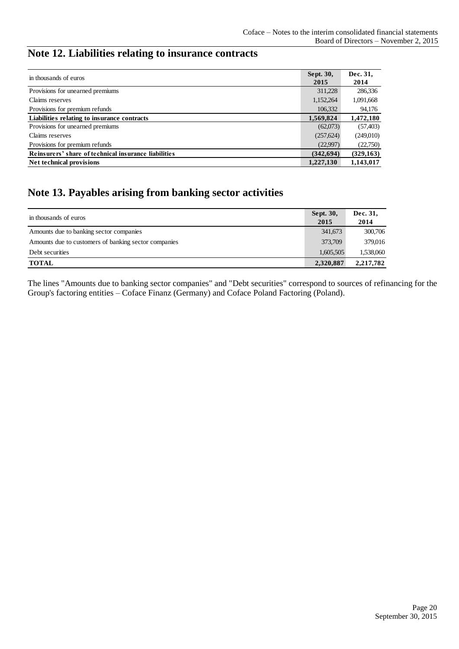# <span id="page-19-0"></span>**Note 12. Liabilities relating to insurance contracts**

| in thousands of euros                                | Sept. 30,  | Dec. 31,   |
|------------------------------------------------------|------------|------------|
|                                                      | 2015       | 2014       |
| Provisions for unearned premiums                     | 311,228    | 286,336    |
| Claims reserves                                      | 1,152,264  | 1,091,668  |
| Provisions for premium refunds                       | 106,332    | 94,176     |
| Liabilities relating to insurance contracts          | 1,569,824  | 1,472,180  |
| Provisions for unearned premiums                     | (62,073)   | (57, 403)  |
| Claims reserves                                      | (257,624)  | (249,010)  |
| Provisions for premium refunds                       | (22,997)   | (22,750)   |
| Reinsurers' share of technical insurance liabilities | (342, 694) | (329, 163) |
| Net technical provisions                             | 1,227,130  | 1,143,017  |

### <span id="page-19-1"></span>**Note 13. Payables arising from banking sector activities**

| in thousands of euros                                | Sept. 30,<br>2015 | Dec. 31,<br>2014 |
|------------------------------------------------------|-------------------|------------------|
| Amounts due to banking sector companies              | 341,673           | 300,706          |
| Amounts due to customers of banking sector companies | 373,709           | 379,016          |
| Debt securities                                      | 1,605,505         | 1,538,060        |
| <b>TOTAL</b>                                         | 2,320,887         | 2,217,782        |

The lines "Amounts due to banking sector companies" and "Debt securities" correspond to sources of refinancing for the Group's factoring entities – Coface Finanz (Germany) and Coface Poland Factoring (Poland).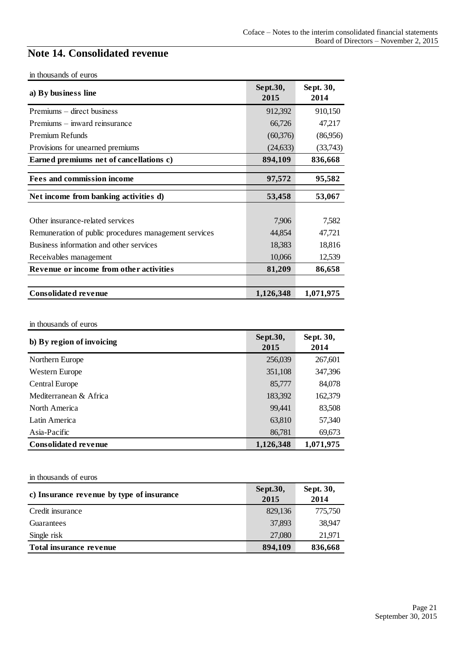# <span id="page-20-0"></span>**Note 14. Consolidated revenue**

| in thousands of euros |  |  |
|-----------------------|--|--|
|-----------------------|--|--|

| a) By business line                                   | Sept.30,<br>2015 | Sept. 30,<br>2014 |
|-------------------------------------------------------|------------------|-------------------|
| Premiums – direct business                            | 912,392          | 910,150           |
| Premiums – inward reinsurance                         | 66,726           | 47,217            |
| <b>Premium Refunds</b>                                | (60, 376)        | (86,956)          |
| Provisions for unearned premiums                      | (24, 633)        | (33,743)          |
| Earned premiums net of cancellations c)               | 894,109          | 836,668           |
| <b>Fees and commission income</b>                     | 97,572           | 95,582            |
| Net income from banking activities d)                 | 53,458           | 53,067            |
| Other insurance-related services                      | 7,906            | 7,582             |
| Remuneration of public procedures management services | 44,854           | 47,721            |
| Business information and other services               | 18,383           | 18,816            |
| Receivables management                                | 10,066           | 12,539            |
| Revenue or income from other activities               | 81,209           | 86,658            |
| <b>Consolidated revenue</b>                           | 1,126,348        | 1,071,975         |

#### in thousands of euros

| b) By region of invoicing   | Sept.30,<br>2015 | Sept. 30,<br>2014 |
|-----------------------------|------------------|-------------------|
| Northern Europe             | 256,039          | 267,601           |
| Western Europe              | 351,108          | 347,396           |
| <b>Central Europe</b>       | 85,777           | 84,078            |
| Mediterranean & Africa      | 183,392          | 162,379           |
| North America               | 99,441           | 83,508            |
| Latin America               | 63,810           | 57,340            |
| Asia-Pacific                | 86,781           | 69,673            |
| <b>Consolidated revenue</b> | 1,126,348        | 1,071,975         |

#### in thousands of euros

| <u>m</u> unoubunus of curso               |                  |                   |  |
|-------------------------------------------|------------------|-------------------|--|
| c) Insurance revenue by type of insurance | Sept.30,<br>2015 | Sept. 30,<br>2014 |  |
| Credit insurance                          | 829,136          | 775,750           |  |
| Guarantees                                | 37,893           | 38,947            |  |
| Single risk                               | 27,080           | 21,971            |  |
| Total insurance revenue                   | 894,109          | 836,668           |  |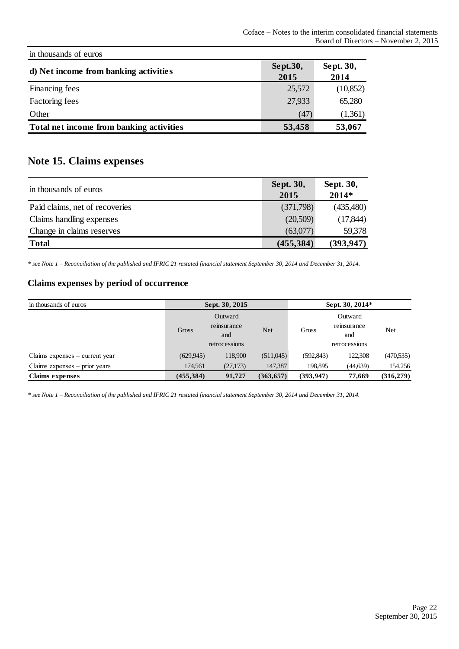| in thousands of euros                    |                  |                   |
|------------------------------------------|------------------|-------------------|
| d) Net income from banking activities    | Sept.30,<br>2015 | Sept. 30,<br>2014 |
| Financing fees                           | 25,572           | (10, 852)         |
| Factoring fees                           | 27,933           | 65,280            |
| Other                                    | (47)             | (1,361)           |
| Total net income from banking activities | 53,458           | 53,067            |

# <span id="page-21-0"></span>**Note 15. Claims expenses**

| in thousands of euros          | <b>Sept. 30,</b><br>2015 | Sept. 30,<br>$2014*$ |
|--------------------------------|--------------------------|----------------------|
| Paid claims, net of recoveries | (371,798)                | (435,480)            |
| Claims handling expenses       | (20,509)                 | (17, 844)            |
| Change in claims reserves      | (63,077)                 | 59,378               |
| <b>Total</b>                   | (455, 384)               | (393, 947)           |

*\* see Note 1 – Reconciliation of the published and IFRIC 21 restated financial statement September 30, 2014 and December 31, 2014.*

#### **Claims expenses by period of occurrence**

| in thousands of euros            |            | Sept. 30, 2015                                 |            | Sept. 30, 2014* |                                                |            |
|----------------------------------|------------|------------------------------------------------|------------|-----------------|------------------------------------------------|------------|
|                                  | Gross      | Outward<br>reinsurance<br>and<br>retrocessions | Net        | Gross           | Outward<br>reinsurance<br>and<br>retrocessions | Net        |
| Claims expenses $-$ current year | (629, 945) | 118,900                                        | (511,045)  | (592, 843)      | 122,308                                        | (470, 535) |
| Claims expenses $-$ prior years  | 174,561    | (27,173)                                       | 147,387    | 198,895         | (44, 639)                                      | 154,256    |
| <b>Claims expenses</b>           | (455, 384) | 91,727                                         | (363, 657) | (393, 947)      | 77,669                                         | (316,279)  |

*\* see Note 1 – Reconciliation of the published and IFRIC 21 restated financial statement September 30, 2014 and December 31, 2014.*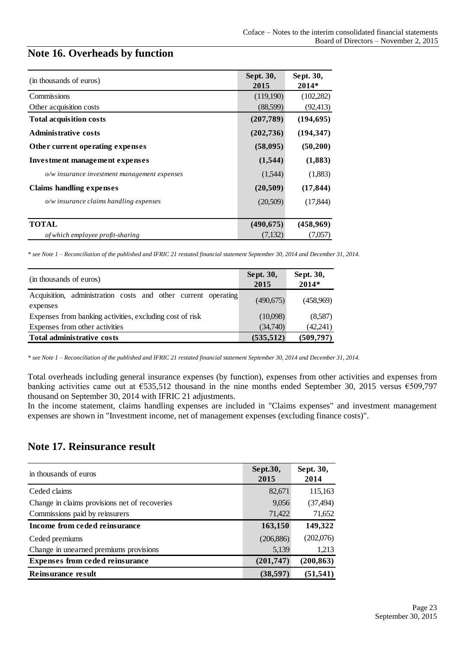### <span id="page-22-0"></span>**Note 16. Overheads by function**

| (in thousands of euros)                      | Sept. 30,<br>2015 | Sept. 30,<br>2014* |
|----------------------------------------------|-------------------|--------------------|
| Commissions                                  | (119,190)         | (102,282)          |
| Other acquisition costs                      | (88,599)          | (92, 413)          |
| <b>Total acquisition costs</b>               | (207, 789)        | (194, 695)         |
| <b>Administrative costs</b>                  | (202, 736)        | (194, 347)         |
| Other current operating expenses             | (58,095)          | (50,200)           |
| Investment management expenses               | (1,544)           | (1,883)            |
| o/w insurance investment management expenses | (1,544)           | (1,883)            |
| <b>Claims handling expenses</b>              | (20, 509)         | (17, 844)          |
| $o/w$ insurance claims handling expenses     | (20,509)          | (17, 844)          |
| <b>TOTAL</b>                                 | (490, 675)        | (458,969)          |
| of which employee profit-sharing             | (7,132)           | (7,057)            |

*\* see Note 1 – Reconciliation of the published and IFRIC 21 restated financial statement September 30, 2014 and December 31, 2014.*

| (in thousands of euros)                                                   | Sept. 30,<br>2015 | Sept. 30,<br>$2014*$ |
|---------------------------------------------------------------------------|-------------------|----------------------|
| Acquisition, administration costs and other current operating<br>expenses | (490,675)         | (458,969)            |
| Expenses from banking activities, excluding cost of risk                  | (10,098)          | (8,587)              |
| Expenses from other activities                                            | (34,740)          | (42,241)             |
| Total administrative costs                                                | (535, 512)        | (509, 797)           |

*\* see Note 1 – Reconciliation of the published and IFRIC 21 restated financial statement September 30, 2014 and December 31, 2014.*

Total overheads including general insurance expenses (by function), expenses from other activities and expenses from banking activities came out at €535,512 thousand in the nine months ended September 30, 2015 versus €509,797 thousand on September 30, 2014 with IFRIC 21 adjustments.

In the income statement, claims handling expenses are included in "Claims expenses" and investment management expenses are shown in "Investment income, net of management expenses (excluding finance costs)".

### <span id="page-22-1"></span>**Note 17. Reinsurance result**

| in thousands of euros                         | Sept.30,<br>2015 | Sept. 30,<br>2014 |
|-----------------------------------------------|------------------|-------------------|
| Ceded claims                                  | 82,671           | 115,163           |
| Change in claims provisions net of recoveries | 9,056            | (37, 494)         |
| Commissions paid by reinsurers                | 71,422           | 71,652            |
| Income from ceded reinsurance                 | 163,150          | 149,322           |
| Ceded premiums                                | (206, 886)       | (202,076)         |
| Change in unearned premiums provisions        | 5,139            | 1,213             |
| <b>Expenses from ceded reinsurance</b>        | (201, 747)       | (200, 863)        |
| Reinsurance result                            | (38, 597)        | (51, 541)         |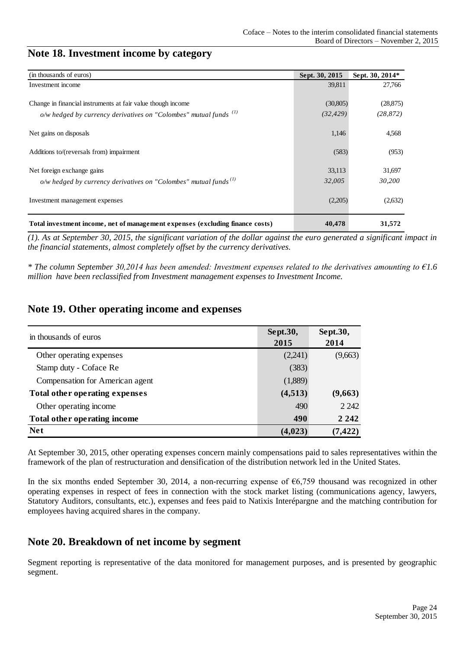### <span id="page-23-0"></span>**Note 18. Investment income by category**

| (in thousands of euros)                                                       | Sept. 30, 2015 | Sept. 30, 2014* |
|-------------------------------------------------------------------------------|----------------|-----------------|
| Investment income                                                             | 39,811         | 27,766          |
|                                                                               |                |                 |
| Change in financial instruments at fair value though income                   | (30,805)       | (28, 875)       |
| o/w hedged by currency derivatives on "Colombes" mutual funds $\binom{1}{k}$  | (32, 429)      | (28, 872)       |
| Net gains on disposals                                                        | 1,146          | 4,568           |
| Additions to/(reversals from) impairment                                      | (583)          | (953)           |
| Net foreign exchange gains                                                    | 33,113         | 31,697          |
| o/w hedged by currency derivatives on "Colombes" mutual funds $\binom{1}{k}$  | 32,005         | 30,200          |
| Investment management expenses                                                | (2,205)        | (2,632)         |
| Total investment income, net of management expenses (excluding finance costs) | 40,478         | 31,572          |

*(1). As at September 30, 2015, the significant variation of the dollar against the euro generated a significant impact in the financial statements, almost completely offset by the currency derivatives.* 

*\* The column September 30,2014 has been amended: Investment expenses related to the derivatives amounting to €1.6 million have been reclassified from Investment management expenses to Investment Income.*

### <span id="page-23-1"></span>**Note 19. Other operating income and expenses**

| in thousands of euros           | Sept.30,<br>2015 | Sept.30,<br>2014 |
|---------------------------------|------------------|------------------|
| Other operating expenses        | (2,241)          | (9,663)          |
| Stamp duty - Coface Re          | (383)            |                  |
| Compensation for American agent | (1,889)          |                  |
| Total other operating expenses  | (4,513)          | (9,663)          |
| Other operating income          | 490              | 2 2 4 2          |
| Total other operating income    | 490              | 2 2 4 2          |
| <b>Net</b>                      | (4, 023)         | (7, 422)         |

At September 30, 2015, other operating expenses concern mainly compensations paid to sales representatives within the framework of the plan of restructuration and densification of the distribution network led in the United States.

In the six months ended September 30, 2014, a non-recurring expense of €6,759 thousand was recognized in other operating expenses in respect of fees in connection with the stock market listing (communications agency, lawyers, Statutory Auditors, consultants, etc.), expenses and fees paid to Natixis Interépargne and the matching contribution for employees having acquired shares in the company.

### <span id="page-23-2"></span>**Note 20. Breakdown of net income by segment**

Segment reporting is representative of the data monitored for management purposes, and is presented by geographic segment.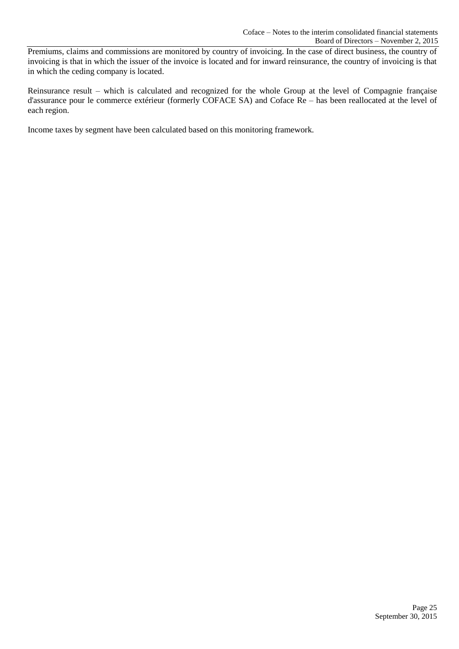Premiums, claims and commissions are monitored by country of invoicing. In the case of direct business, the country of invoicing is that in which the issuer of the invoice is located and for inward reinsurance, the country of invoicing is that in which the ceding company is located.

Reinsurance result – which is calculated and recognized for the whole Group at the level of Compagnie française d'assurance pour le commerce extérieur (formerly COFACE SA) and Coface Re – has been reallocated at the level of each region.

Income taxes by segment have been calculated based on this monitoring framework.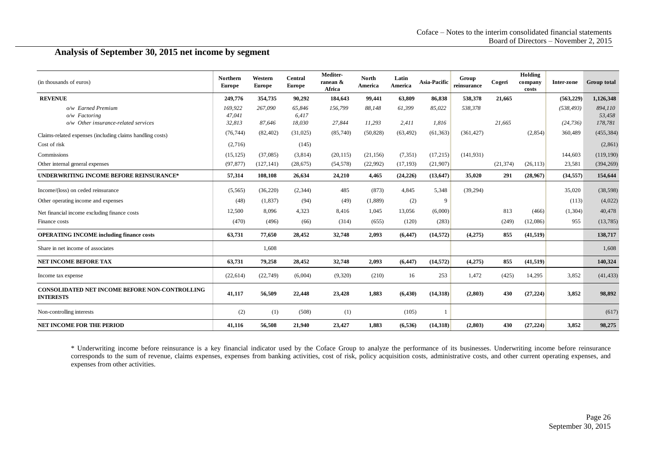#### **Analysis of September 30, 2015 net income by segment**

| (in thousands of euros)                                                     | <b>Northern</b><br>Europe   | Western<br><b>Europe</b> | Central<br><b>Europe</b>  | Mediter-<br>ranean &<br>Africa | <b>North</b><br>America | Latin<br>America | Asia-Pacific    | Group<br>reinsurance | Cogeri    | Holding<br>company<br>costs | Inter-zone              | <b>Group total</b>           |
|-----------------------------------------------------------------------------|-----------------------------|--------------------------|---------------------------|--------------------------------|-------------------------|------------------|-----------------|----------------------|-----------|-----------------------------|-------------------------|------------------------------|
| <b>REVENUE</b>                                                              | 249,776                     | 354,735                  | 90,292                    | 184,643                        | 99,441                  | 63,809           | 86,838          | 538,378              | 21,665    |                             | (563, 229)              | 1,126,348                    |
| o/w Earned Premium<br>o/w Factoring<br>o/w Other insurance-related services | 169,922<br>47,041<br>32,813 | 267,090<br>87,646        | 65.846<br>6,417<br>18,030 | 156,799<br>27,844              | 88,148<br>11,293        | 61,399<br>2,411  | 85,022<br>1,816 | 538,378              | 21.665    |                             | (538, 493)<br>(24, 736) | 894,110<br>53,458<br>178,781 |
| Claims-related expenses (including claims handling costs)                   | (76, 744)                   | (82, 402)                | (31,025)                  | (85,740)                       | (50, 828)               | (63, 492)        | (61, 363)       | (361, 427)           |           | (2, 854)                    | 360,489                 | (455, 384)                   |
| Cost of risk                                                                | (2,716)                     |                          | (145)                     |                                |                         |                  |                 |                      |           |                             |                         | (2,861)                      |
| Commissions                                                                 | (15, 125)                   | (37,085)                 | (3,814)                   | (20, 115)                      | (21, 156)               | (7, 351)         | (17, 215)       | (141, 931)           |           |                             | 144,603                 | (119, 190)                   |
| Other internal general expenses                                             | (97, 877)                   | (127, 141)               | (28, 675)                 | (54, 578)                      | (22,992)                | (17, 193)        | (21,907)        |                      | (21, 374) | (26, 113)                   | 23,581                  | (394, 269)                   |
| <b>UNDERWRITING INCOME BEFORE REINSURANCE*</b>                              | 57,314                      | 108,108                  | 26,634                    | 24,210                         | 4,465                   | (24, 226)        | (13, 647)       | 35,020               | 291       | (28,967)                    | (34, 557)               | 154,644                      |
| Income/(loss) on ceded reinsurance                                          | (5, 565)                    | (36, 220)                | (2,344)                   | 485                            | (873)                   | 4,845            | 5,348           | (39, 294)            |           |                             | 35,020                  | (38, 598)                    |
| Other operating income and expenses                                         | (48)                        | (1,837)                  | (94)                      | (49)                           | (1,889)                 | (2)              | 9               |                      |           |                             | (113)                   | (4,022)                      |
| Net financial income excluding finance costs                                | 12,500                      | 8.096                    | 4,323                     | 8.416                          | 1.045                   | 13,056           | (6,000)         |                      | 813       | (466)                       | (1,304)                 | 40,478                       |
| Finance costs                                                               | (470)                       | (496)                    | (66)                      | (314)                          | (655)                   | (120)            | (283)           |                      | (249)     | (12,086)                    | 955                     | (13, 785)                    |
| <b>OPERATING INCOME including finance costs</b>                             | 63,731                      | 77,650                   | 28,452                    | 32,748                         | 2,093                   | (6, 447)         | (14, 572)       | (4,275)              | 855       | (41, 519)                   |                         | 138,717                      |
| Share in net income of associates                                           |                             | 1,608                    |                           |                                |                         |                  |                 |                      |           |                             |                         | 1,608                        |
| <b>NET INCOME BEFORE TAX</b>                                                | 63,731                      | 79,258                   | 28,452                    | 32,748                         | 2,093                   | (6, 447)         | (14, 572)       | (4,275)              | 855       | (41, 519)                   |                         | 140,324                      |
| Income tax expense                                                          | (22, 614)                   | (22, 749)                | (6,004)                   | (9,320)                        | (210)                   | 16               | 253             | 1,472                | (425)     | 14,295                      | 3,852                   | (41, 433)                    |
| <b>CONSOLIDATED NET INCOME BEFORE NON-CONTROLLING</b><br><b>INTERESTS</b>   | 41,117                      | 56,509                   | 22,448                    | 23,428                         | 1,883                   | (6, 430)         | (14,318)        | (2,803)              | 430       | (27, 224)                   | 3,852                   | 98,892                       |
| Non-controlling interests                                                   | (2)                         | (1)                      | (508)                     | (1)                            |                         | (105)            |                 |                      |           |                             |                         | (617)                        |
| <b>NET INCOME FOR THE PERIOD</b>                                            | 41,116                      | 56,508                   | 21,940                    | 23,427                         | 1,883                   | (6, 536)         | (14, 318)       | (2, 803)             | 430       | (27, 224)                   | 3,852                   | 98,275                       |

\* Underwriting income before reinsurance is a key financial indicator used by the Coface Group to analyze the performance of its businesses. Underwriting income before reinsurance corresponds to the sum of revenue, claims expenses, expenses from banking activities, cost of risk, policy acquisition costs, administrative costs, and other current operating expenses, and expenses from other activities.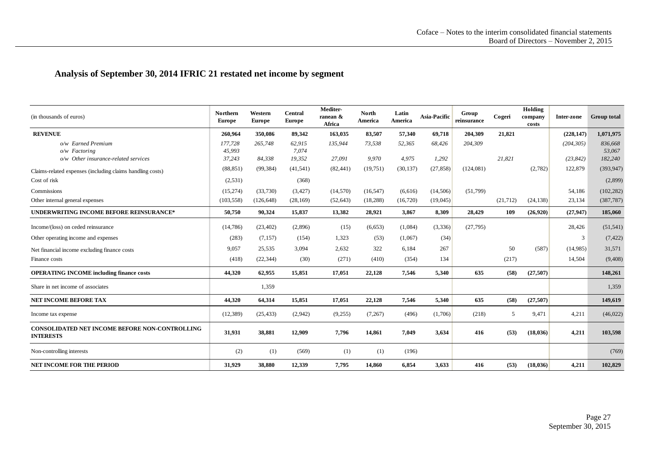### **Analysis of September 30, 2014 IFRIC 21 restated net income by segment**

| (in thousands of euros)                                                   | <b>Northern</b><br><b>Europe</b> | Western<br><b>Europe</b> | <b>Central</b><br><b>Europe</b> | Mediter-<br>ranean &<br>Africa | <b>North</b><br>America | Latin<br>America | Asia-Pacific | Group<br>reinsurance | Cogeri    | Holding<br>company<br>costs | Inter-zone | <b>Group total</b> |
|---------------------------------------------------------------------------|----------------------------------|--------------------------|---------------------------------|--------------------------------|-------------------------|------------------|--------------|----------------------|-----------|-----------------------------|------------|--------------------|
| <b>REVENUE</b>                                                            | 260,964                          | 350,086                  | 89,342                          | 163,035                        | 83,507                  | 57,340           | 69,718       | 204,309              | 21,821    |                             | (228, 147) | 1,071,975          |
| o/w Earned Premium                                                        | 177,728                          | 265,748                  | 62,915                          | 135,944                        | 73,538                  | 52,365           | 68,426       | 204,309              |           |                             | (204, 305) | 836,668            |
| o/w Factoring                                                             | 45,993                           |                          | 7.074                           |                                |                         |                  |              |                      |           |                             |            | 53,067             |
| o/w Other insurance-related services                                      | 37,243                           | 84,338                   | 19,352                          | 27,091                         | 9,970                   | 4,975            | 1,292        |                      | 21,821    |                             | (23, 842)  | 182,240            |
| Claims-related expenses (including claims handling costs)                 | (88, 851)                        | (99, 384)                | (41, 541)                       | (82, 441)                      | (19, 751)               | (30, 137)        | (27, 858)    | (124,081)            |           | (2,782)                     | 122,879    | (393, 947)         |
| Cost of risk                                                              | (2,531)                          |                          | (368)                           |                                |                         |                  |              |                      |           |                             |            | (2,899)            |
| Commissions                                                               | (15, 274)                        | (33.730)                 | (3, 427)                        | (14, 570)                      | (16, 547)               | (6,616)          | (14,506)     | (51.799)             |           |                             | 54,186     | (102, 282)         |
| Other internal general expenses                                           | (103, 558)                       | (126, 648)               | (28, 169)                       | (52, 643)                      | (18, 288)               | (16,720)         | (19,045)     |                      | (21, 712) | (24, 138)                   | 23,134     | (387, 787)         |
| UNDERWRITING INCOME BEFORE REINSURANCE*                                   | 50,750                           | 90,324                   | 15,837                          | 13,382                         | 28,921                  | 3,867            | 8,309        | 28,429               | 109       | (26,920)                    | (27, 947)  | 185,060            |
| Income/(loss) on ceded reinsurance                                        | (14,786)                         | (23, 402)                | (2,896)                         | (15)                           | (6,653)                 | (1,084)          | (3,336)      | (27,795)             |           |                             | 28,426     | (51, 541)          |
| Other operating income and expenses                                       | (283)                            | (7, 157)                 | (154)                           | 1,323                          | (53)                    | (1,067)          | (34)         |                      |           |                             | 3          | (7, 422)           |
| Net financial income excluding finance costs                              | 9,057                            | 25,535                   | 3,094                           | 2,632                          | 322                     | 6,184            | 267          |                      | 50        | (587)                       | (14,985)   | 31,571             |
| Finance costs                                                             | (418)                            | (22, 344)                | (30)                            | (271)                          | (410)                   | (354)            | 134          |                      | (217)     |                             | 14,504     | (9, 408)           |
| <b>OPERATING INCOME including finance costs</b>                           | 44,320                           | 62,955                   | 15,851                          | 17,051                         | 22,128                  | 7,546            | 5,340        | 635                  | (58)      | (27, 507)                   |            | 148,261            |
| Share in net income of associates                                         |                                  | 1,359                    |                                 |                                |                         |                  |              |                      |           |                             |            | 1,359              |
| <b>NET INCOME BEFORE TAX</b>                                              | 44,320                           | 64,314                   | 15,851                          | 17,051                         | 22,128                  | 7,546            | 5,340        | 635                  | (58)      | (27, 507)                   |            | 149,619            |
| Income tax expense                                                        | (12, 389)                        | (25, 433)                | (2,942)                         | (9,255)                        | (7, 267)                | (496)            | (1,706)      | (218)                | 5         | 9,471                       | 4,211      | (46, 022)          |
| <b>CONSOLIDATED NET INCOME BEFORE NON-CONTROLLING</b><br><b>INTERESTS</b> | 31,931                           | 38,881                   | 12,909                          | 7,796                          | 14,861                  | 7,049            | 3,634        | 416                  | (53)      | (18, 036)                   | 4,211      | 103,598            |
| Non-controlling interests                                                 | (2)                              | (1)                      | (569)                           | (1)                            | (1)                     | (196)            |              |                      |           |                             |            | (769)              |
| NET INCOME FOR THE PERIOD                                                 | 31,929                           | 38,880                   | 12,339                          | 7,795                          | 14,860                  | 6,854            | 3,633        | 416                  | (53)      | (18, 036)                   | 4,211      | 102,829            |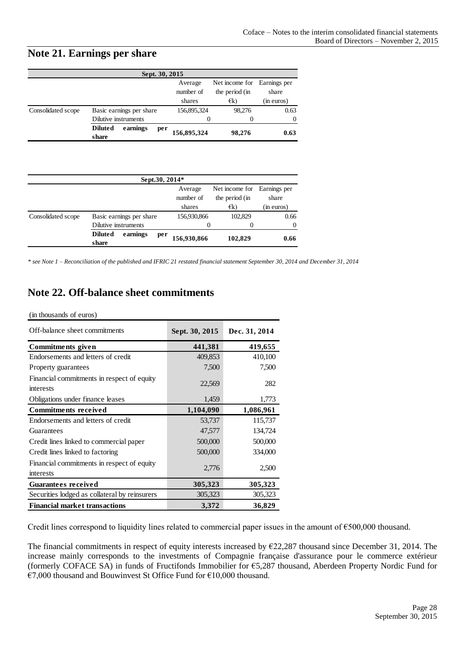### <span id="page-27-0"></span>**Note 21. Earnings per share**

| Sept. 30, 2015     |                                            |                      |                                  |                       |  |  |  |  |  |  |
|--------------------|--------------------------------------------|----------------------|----------------------------------|-----------------------|--|--|--|--|--|--|
|                    |                                            | Average<br>number of | Net income for<br>the period (in | Earnings per<br>share |  |  |  |  |  |  |
|                    |                                            | shares               | €k)                              | (in euros)            |  |  |  |  |  |  |
| Consolidated scope | Basic earnings per share                   | 156,895,324          | 98.276                           | 0.63                  |  |  |  |  |  |  |
|                    | Dilutive instruments                       | $\mathbf{\Omega}$    |                                  | $\Omega$              |  |  |  |  |  |  |
|                    | earnings<br><b>Diluted</b><br>per<br>share | 156,895,324          | 98,276                           | 0.63                  |  |  |  |  |  |  |

| Sept.30, 2014*     |                                            |                      |                                  |                       |  |  |  |  |  |  |
|--------------------|--------------------------------------------|----------------------|----------------------------------|-----------------------|--|--|--|--|--|--|
|                    |                                            | Average<br>number of | Net income for<br>the period (in | Earnings per<br>share |  |  |  |  |  |  |
|                    |                                            | shares               | $\in$ k)                         | (in euros)            |  |  |  |  |  |  |
| Consolidated scope | Basic earnings per share                   | 156,930,866          | 102,829                          | 0.66                  |  |  |  |  |  |  |
|                    | Dilutive instruments                       |                      | $\mathbf{\Omega}$                | $\Omega$              |  |  |  |  |  |  |
|                    | <b>Diluted</b><br>earnings<br>per<br>share | 156,930,866          | 102,829                          | 0.66                  |  |  |  |  |  |  |

*\* see Note 1 – Reconciliation of the published and IFRIC 21 restated financial statement September 30, 2014 and December 31, 2014*

### <span id="page-27-1"></span>**Note 22. Off-balance sheet commitments**

| (in thousands of euros) |  |
|-------------------------|--|
|                         |  |

| Off-balance sheet commitments                           | Sept. 30, 2015 | Dec. 31, 2014 |
|---------------------------------------------------------|----------------|---------------|
| Commitments given                                       | 441,381        | 419,655       |
| Endorsements and letters of credit                      | 409,853        | 410,100       |
| Property guarantees                                     | 7,500          | 7,500         |
| Financial commitments in respect of equity<br>interests | 22,569         | 282           |
| Obligations under finance leases                        | 1,459          | 1,773         |
| <b>Commitments received</b>                             | 1,104,090      | 1,086,961     |
| Endorsements and letters of credit                      | 53,737         | 115,737       |
| Guarantees                                              | 47,577         | 134,724       |
| Credit lines linked to commercial paper                 | 500,000        | 500,000       |
| Credit lines linked to factoring                        | 500,000        | 334,000       |
| Financial commitments in respect of equity<br>interests | 2,776          | 2,500         |
| <b>Guarantees received</b>                              | 305,323        | 305,323       |
| Securities lodged as collateral by reinsurers           | 305,323        | 305,323       |
| <b>Financial market transactions</b>                    | 3,372          | 36,829        |

Credit lines correspond to liquidity lines related to commercial paper issues in the amount of €500,000 thousand.

The financial commitments in respect of equity interests increased by €22,287 thousand since December 31, 2014. The increase mainly corresponds to the investments of Compagnie française d'assurance pour le commerce extérieur (formerly COFACE SA) in funds of Fructifonds Immobilier for €5,287 thousand, Aberdeen Property Nordic Fund for €7,000 thousand and Bouwinvest St Office Fund for €10,000 thousand.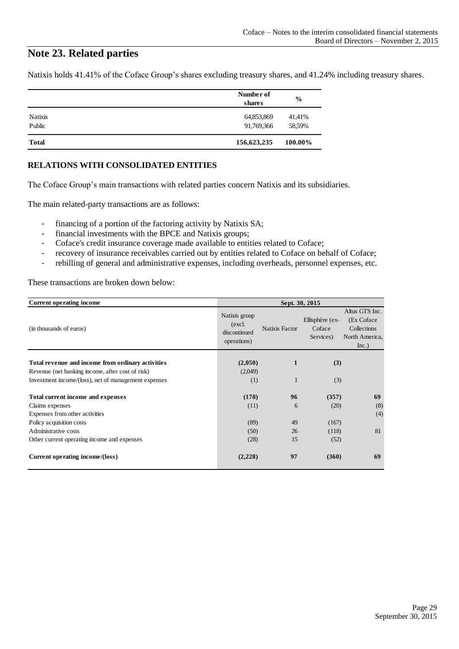### <span id="page-28-0"></span>**Note 23. Related parties**

Natixis holds 41.41% of the Coface Group's shares excluding treasury shares, and 41.24% including treasury shares.

|                          | Number of<br>shares      | $\frac{6}{9}$    |
|--------------------------|--------------------------|------------------|
| <b>Natixis</b><br>Public | 64,853,869<br>91,769,366 | 41,41%<br>58,59% |
| <b>Total</b>             | 156,623,235              | 100.00%          |

#### **RELATIONS WITH CONSOLIDATED ENTITIES**

The Coface Group's main transactions with related parties concern Natixis and its subsidiaries.

The main related-party transactions are as follows:

- financing of a portion of the factoring activity by Natixis SA;
- financial investments with the BPCE and Natixis groups;
- Coface's credit insurance coverage made available to entities related to Coface;
- recovery of insurance receivables carried out by entities related to Coface on behalf of Coface;
- rebilling of general and administrative expenses, including overheads, personnel expenses, etc.

These transactions are broken down below:

| <b>Current operating income</b>                      | Sept. 30, 2015                                          |                |                                        |                                                                         |  |
|------------------------------------------------------|---------------------------------------------------------|----------------|----------------------------------------|-------------------------------------------------------------------------|--|
| (in thousands of euros)                              | Natixis group<br>(excl.)<br>discontinued<br>operations) | Natixis Factor | Ellisphère (ex-<br>Coface<br>Services) | Altus GTS Inc.<br>(Ex Coface)<br>Collections<br>North America,<br>Inc.) |  |
| Total revenue and income from ordinary activities    | (2,050)                                                 | 1              | (3)                                    |                                                                         |  |
| Revenue (net banking income, after cost of risk)     | (2,049)                                                 |                |                                        |                                                                         |  |
| Investment income/(loss), net of management expenses | (1)                                                     | 1              | (3)                                    |                                                                         |  |
| Total current income and expenses                    | (178)                                                   | 96             | (357)                                  | 69                                                                      |  |
| Claims expenses                                      | (11)                                                    | 6              | (20)                                   | (8)                                                                     |  |
| Expenses from other activities                       |                                                         |                |                                        | (4)                                                                     |  |
| Policy acquisition costs                             | (89)                                                    | 49             | (167)                                  |                                                                         |  |
| Administrative costs                                 | (50)                                                    | 26             | (118)                                  | 81                                                                      |  |
| Other current operating income and expenses          | (28)                                                    | 15             | (52)                                   |                                                                         |  |
| Current operating income/(loss)                      | (2,228)                                                 | 97             | (360)                                  | 69                                                                      |  |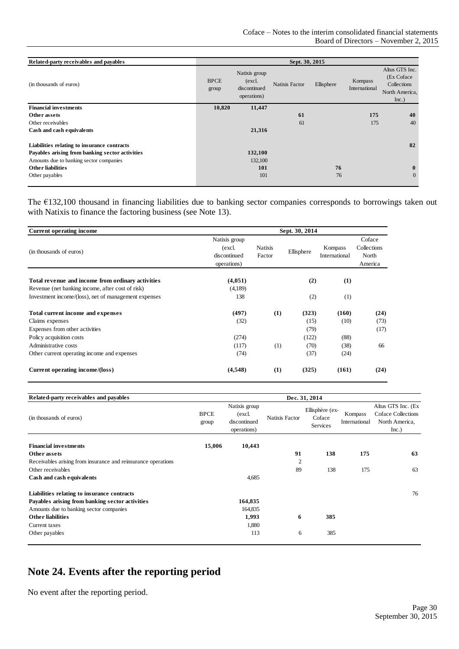| Related-party receivables and payables          |                      |                                                        | Sept. 30, 2015 |            |                          |                                                                         |
|-------------------------------------------------|----------------------|--------------------------------------------------------|----------------|------------|--------------------------|-------------------------------------------------------------------------|
| (in thousands of euros)                         | <b>BPCE</b><br>group | Natixis group<br>(excl.<br>discontinued<br>operations) | Natixis Factor | Ellisphere | Kompass<br>International | Altus GTS Inc.<br>(Ex Coface)<br>Collections<br>North America,<br>Inc.) |
| <b>Financial investments</b>                    | 10,820               | 11,447                                                 |                |            |                          |                                                                         |
| Other assets                                    |                      |                                                        | 61             |            | 175                      | 40                                                                      |
| Other receivables                               |                      |                                                        | 61             |            | 175                      | 40                                                                      |
| Cash and cash equivalents                       |                      | 21,316                                                 |                |            |                          |                                                                         |
| Liabilities relating to insurance contracts     |                      |                                                        |                |            |                          | 82                                                                      |
| Payables arising from banking sector activities |                      | 132,100                                                |                |            |                          |                                                                         |
| Amounts due to banking sector companies         |                      | 132,100                                                |                |            |                          |                                                                         |
| <b>Other liabilities</b>                        |                      | 101                                                    |                | 76         |                          | $\mathbf{0}$                                                            |
| Other payables                                  |                      | 101                                                    |                | 76         |                          | $\Omega$                                                                |

The €132,100 thousand in financing liabilities due to banking sector companies corresponds to borrowings taken out with Natixis to finance the factoring business (see Note 13).

| <b>Current operating income</b>                      | Sept. 30, 2014                                         |                          |            |                          |                                           |  |  |  |  |
|------------------------------------------------------|--------------------------------------------------------|--------------------------|------------|--------------------------|-------------------------------------------|--|--|--|--|
| (in thousands of euros)                              | Natixis group<br>(excl.<br>discontinued<br>operations) | <b>Natixis</b><br>Factor | Ellisphere | Kompass<br>International | Coface<br>Collections<br>North<br>America |  |  |  |  |
| Total revenue and income from ordinary activities    | (4,051)                                                |                          | (2)        | (1)                      |                                           |  |  |  |  |
| Revenue (net banking income, after cost of risk)     | (4,189)                                                |                          |            |                          |                                           |  |  |  |  |
| Investment income/(loss), net of management expenses | 138                                                    |                          | (2)        | (1)                      |                                           |  |  |  |  |
| Total current income and expenses                    | (497)                                                  | (1)                      | (323)      | (160)                    | (24)                                      |  |  |  |  |
| Claims expenses                                      | (32)                                                   |                          | (15)       | (10)                     | (73)                                      |  |  |  |  |
| Expenses from other activities                       |                                                        |                          | (79)       |                          | (17)                                      |  |  |  |  |
| Policy acquisition costs                             | (274)                                                  |                          | (122)      | (88)                     |                                           |  |  |  |  |
| Administrative costs                                 | (117)                                                  | (1)                      | (70)       | (38)                     | 66                                        |  |  |  |  |
| Other current operating income and expenses          | (74)                                                   |                          | (37)       | (24)                     |                                           |  |  |  |  |
| Current operating income/(loss)                      | (4,548)                                                | (1)                      | (325)      | (161)                    | (24)                                      |  |  |  |  |

| Related-party receivables and payables                        |                      | Dec. 31, 2014                                          |                |                                       |                          |                                                                     |  |  |  |
|---------------------------------------------------------------|----------------------|--------------------------------------------------------|----------------|---------------------------------------|--------------------------|---------------------------------------------------------------------|--|--|--|
| (in thousands of euros)                                       | <b>BPCE</b><br>group | Natixis group<br>(excl.<br>discontinued<br>operations) | Natixis Factor | Ellisphère (ex-<br>Coface<br>Services | Kompass<br>International | Altus GTS Inc. (Ex<br>Coface Collections<br>North America,<br>Inc.) |  |  |  |
| <b>Financial investments</b>                                  | 15,006               | 10,443                                                 |                |                                       |                          |                                                                     |  |  |  |
| Other assets                                                  |                      |                                                        | 91             | 138                                   | 175                      | 63                                                                  |  |  |  |
| Receivables arising from insurance and reinsurance operations |                      |                                                        | $\overline{2}$ |                                       |                          |                                                                     |  |  |  |
| Other receivables                                             |                      |                                                        | 89             | 138                                   | 175                      | 63                                                                  |  |  |  |
| Cash and cash equivalents                                     |                      | 4,685                                                  |                |                                       |                          |                                                                     |  |  |  |
| Liabilities relating to insurance contracts                   |                      |                                                        |                |                                       |                          | 76                                                                  |  |  |  |
| Payables arising from banking sector activities               |                      | 164,835                                                |                |                                       |                          |                                                                     |  |  |  |
| Amounts due to banking sector companies                       |                      | 164,835                                                |                |                                       |                          |                                                                     |  |  |  |
| <b>Other liabilities</b>                                      |                      | 1,993                                                  | 6              | 385                                   |                          |                                                                     |  |  |  |
| Current taxes                                                 |                      | 1,880                                                  |                |                                       |                          |                                                                     |  |  |  |
| Other payables                                                |                      | 113                                                    | 6              | 385                                   |                          |                                                                     |  |  |  |

# <span id="page-29-0"></span>**Note 24. Events after the reporting period**

No event after the reporting period.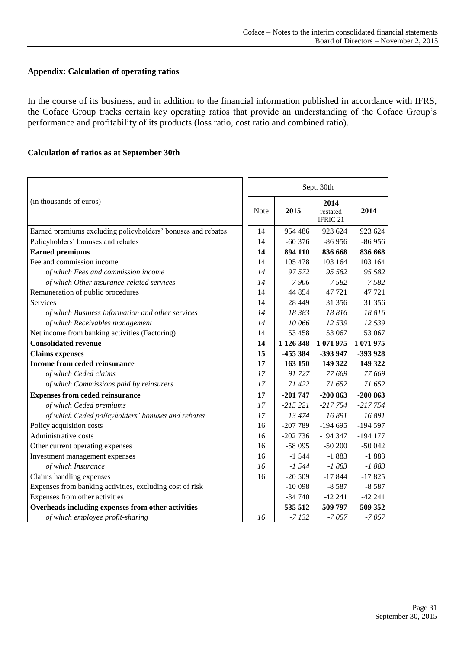#### **Appendix: Calculation of operating ratios**

In the course of its business, and in addition to the financial information published in accordance with IFRS, the Coface Group tracks certain key operating ratios that provide an understanding of the Coface Group's performance and profitability of its products (loss ratio, cost ratio and combined ratio).

#### **Calculation of ratios as at September 30th**

|                                                              |      | Sept. 30th |                                         |            |  |
|--------------------------------------------------------------|------|------------|-----------------------------------------|------------|--|
| (in thousands of euros)                                      | Note | 2015       | 2014<br>restated<br>IFRIC <sub>21</sub> | 2014       |  |
| Earned premiums excluding policyholders' bonuses and rebates | 14   | 954 486    | 923 624                                 | 923 624    |  |
| Policyholders' bonuses and rebates                           | 14   | $-60376$   | $-86956$                                | $-86956$   |  |
| <b>Earned premiums</b>                                       | 14   | 894 110    | 836 668                                 | 836 668    |  |
| Fee and commission income                                    | 14   | 105 478    | 103 164                                 | 103 164    |  |
| of which Fees and commission income                          | 14   | 97 572     | 95 582                                  | 95 582     |  |
| of which Other insurance-related services                    | 14   | 7906       | 7 5 8 2                                 | 7582       |  |
| Remuneration of public procedures                            | 14   | 44 854     | 47 721                                  | 47 721     |  |
| Services                                                     | 14   | 28 4 49    | 31 356                                  | 31 356     |  |
| of which Business information and other services             | 14   | 18 383     | 18816                                   | 18816      |  |
| of which Receivables management                              | 14   | 10 066     | 12 539                                  | 12 539     |  |
| Net income from banking activities (Factoring)               | 14   | 53 458     | 53 067                                  | 53 067     |  |
| <b>Consolidated revenue</b>                                  | 14   | 1 126 348  | 1 071 975                               | 1 071 975  |  |
| <b>Claims</b> expenses                                       | 15   | -455 384   | -393 947                                | -393 928   |  |
| Income from ceded reinsurance                                | 17   | 163 150    | 149 322                                 | 149 322    |  |
| of which Ceded claims                                        | 17   | 91727      | 77 669                                  | 77 669     |  |
| of which Commissions paid by reinsurers                      | 17   | 71 422     | 71 652                                  | 71 652     |  |
| <b>Expenses from ceded reinsurance</b>                       | 17   | $-201747$  | $-200863$                               | $-200863$  |  |
| of which Ceded premiums                                      | 17   | $-215221$  | $-217754$                               | $-217754$  |  |
| of which Ceded policyholders' bonuses and rebates            | 17   | 13474      | 16 891                                  | 16 891     |  |
| Policy acquisition costs                                     | 16   | $-207789$  | $-194695$                               | $-194597$  |  |
| Administrative costs                                         | 16   | $-202736$  | $-194347$                               | $-194$ 177 |  |
| Other current operating expenses                             | 16   | -58 095    | $-50200$                                | $-50042$   |  |
| Investment management expenses                               | 16   | $-1544$    | $-1883$                                 | $-1883$    |  |
| of which Insurance                                           | 16   | $-1,544$   | $-1883$                                 | $-1883$    |  |
| Claims handling expenses                                     | 16   | $-20509$   | $-17844$                                | $-17825$   |  |
| Expenses from banking activities, excluding cost of risk     |      | $-10098$   | $-8587$                                 | $-8587$    |  |
| Expenses from other activities                               |      | $-34740$   | $-42241$                                | $-42241$   |  |
| Overheads including expenses from other activities           |      | $-535512$  | -509 797                                | -509 352   |  |
| of which employee profit-sharing                             | 16   | $-7132$    | $-7057$                                 | $-7057$    |  |